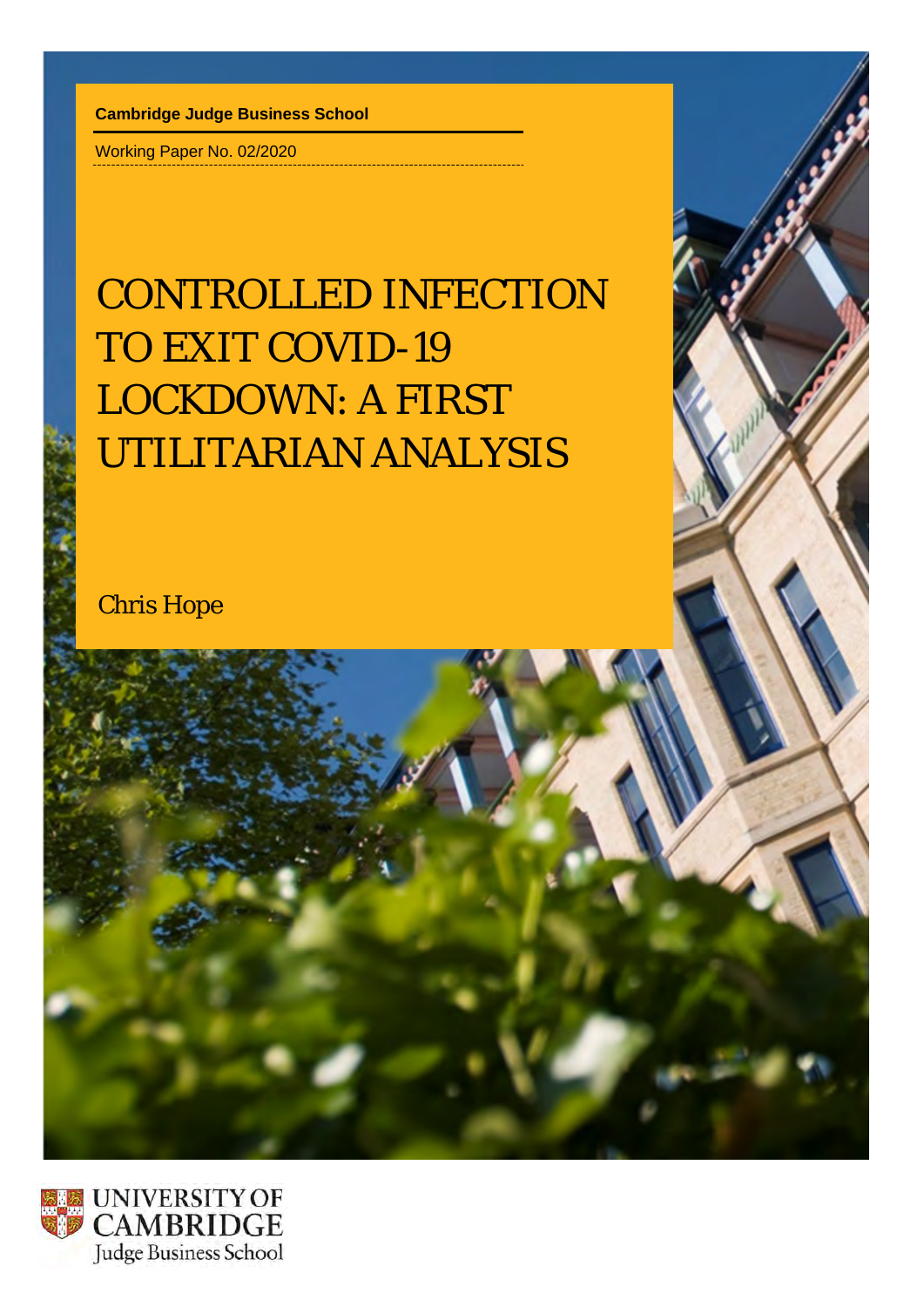**Cambridge Judge Business School**

Working Paper No. 02/2020

# CONTROLLED INFECTION TO EXIT COVID-19 LOCKDOWN: A FIRST UTILITARIAN ANALYSIS

Chris Hope

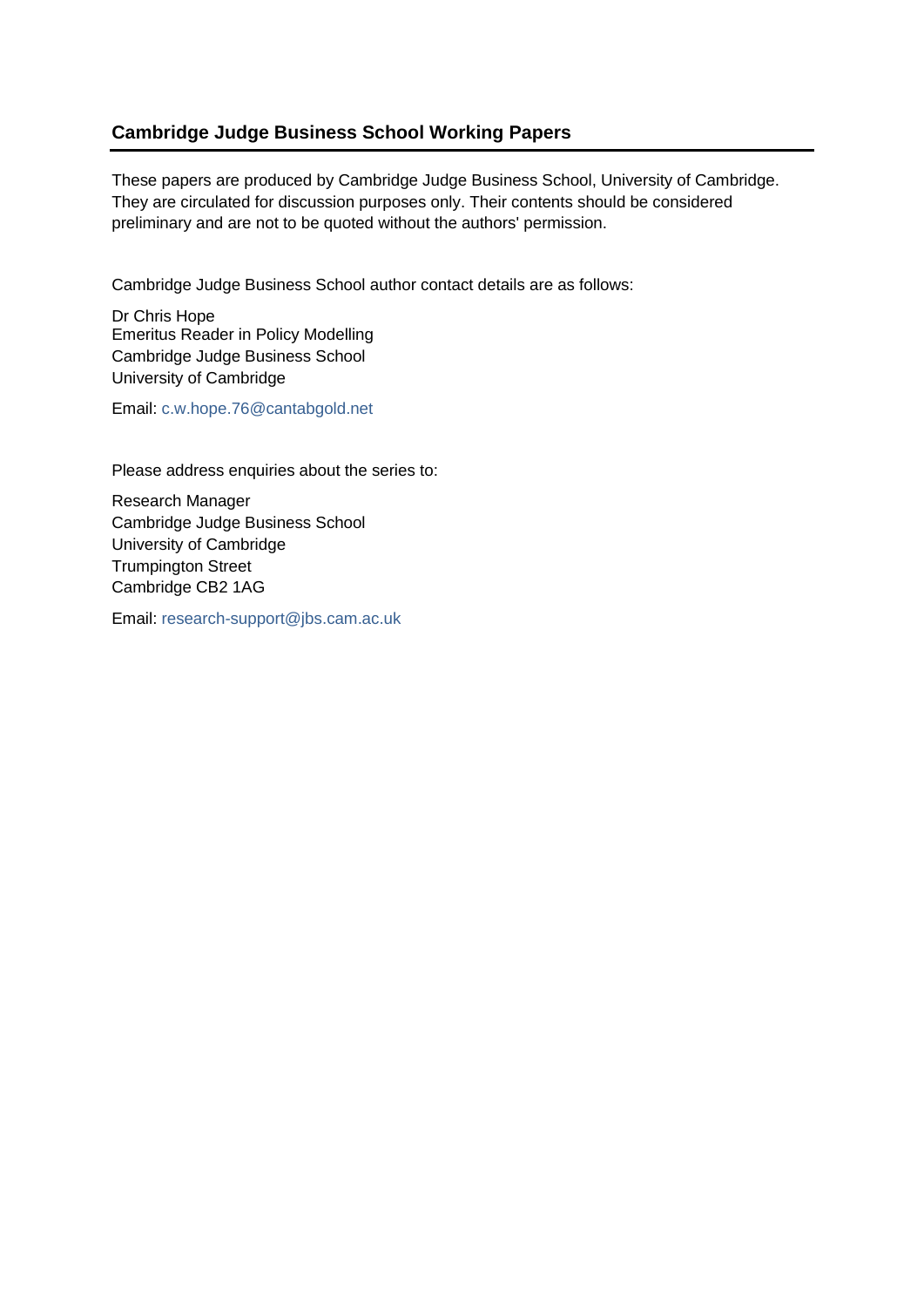# **Cambridge Judge Business School Working Papers**

These papers are produced by Cambridge Judge Business School, University of Cambridge. They are circulated for discussion purposes only. Their contents should be considered preliminary and are not to be quoted without the authors' permission.

Cambridge Judge Business School author contact details are as follows:

Dr Chris Hope Emeritus Reader in Policy Modelling Cambridge Judge Business School University of Cambridge

Email: c.w.hope.76@cantabgold.net

Please address enquiries about the series to:

Research Manager Cambridge Judge Business School University of Cambridge Trumpington Street Cambridge CB2 1AG

Email: [research-support@jbs.cam.ac.uk](mailto:research-support@jbs.cam.ac.uk)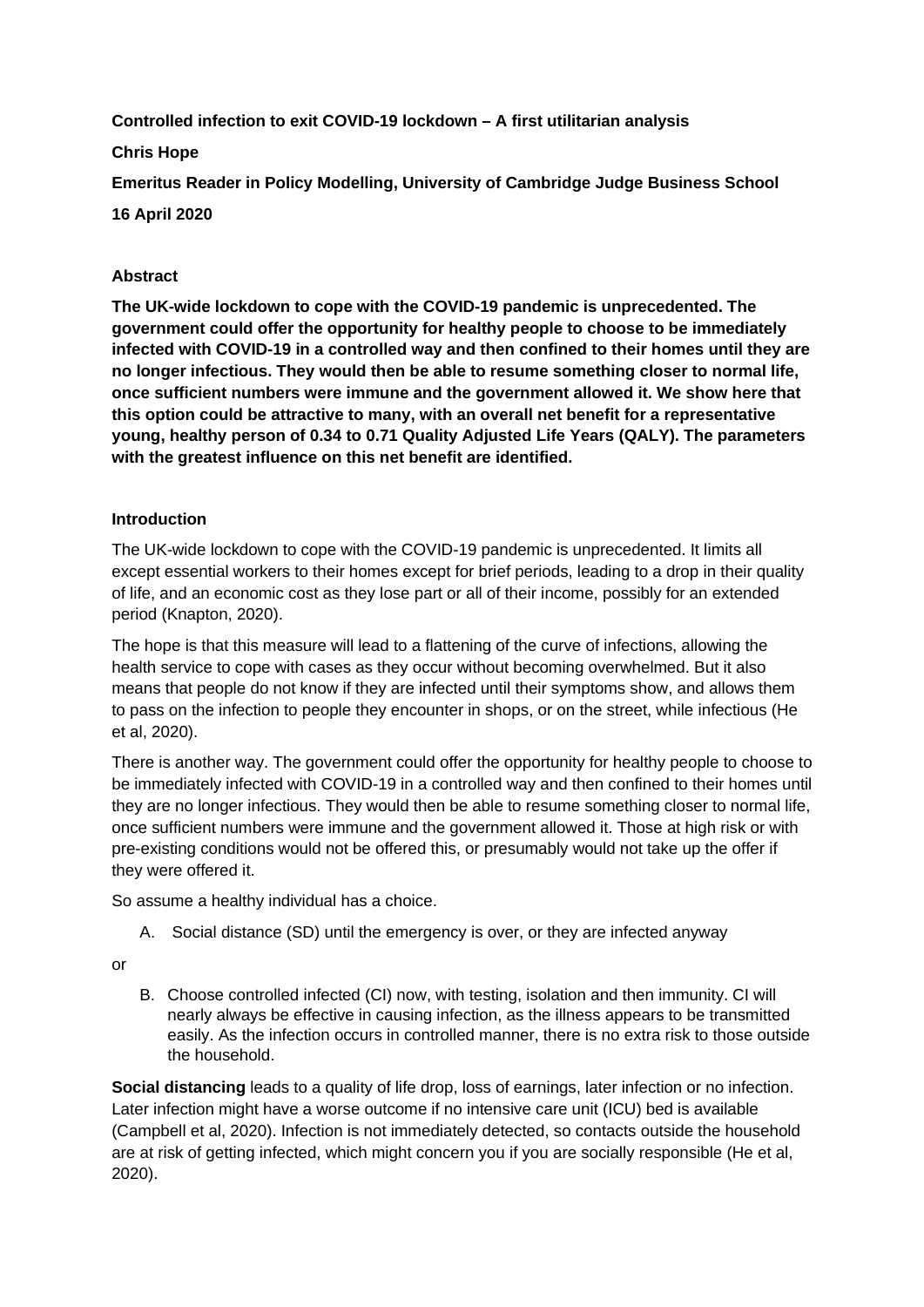**Controlled infection to exit COVID-19 lockdown – A first utilitarian analysis**

**Chris Hope**

**Emeritus Reader in Policy Modelling, University of Cambridge Judge Business School 16 April 2020**

# **Abstract**

**The UK-wide lockdown to cope with the COVID-19 pandemic is unprecedented. The government could offer the opportunity for healthy people to choose to be immediately infected with COVID-19 in a controlled way and then confined to their homes until they are no longer infectious. They would then be able to resume something closer to normal life, once sufficient numbers were immune and the government allowed it. We show here that this option could be attractive to many, with an overall net benefit for a representative young, healthy person of 0.34 to 0.71 Quality Adjusted Life Years (QALY). The parameters with the greatest influence on this net benefit are identified.**

# **Introduction**

The UK-wide lockdown to cope with the COVID-19 pandemic is unprecedented. It limits all except essential workers to their homes except for brief periods, leading to a drop in their quality of life, and an economic cost as they lose part or all of their income, possibly for an extended period (Knapton, 2020).

The hope is that this measure will lead to a flattening of the curve of infections, allowing the health service to cope with cases as they occur without becoming overwhelmed. But it also means that people do not know if they are infected until their symptoms show, and allows them to pass on the infection to people they encounter in shops, or on the street, while infectious (He et al, 2020).

There is another way. The government could offer the opportunity for healthy people to choose to be immediately infected with COVID-19 in a controlled way and then confined to their homes until they are no longer infectious. They would then be able to resume something closer to normal life, once sufficient numbers were immune and the government allowed it. Those at high risk or with pre-existing conditions would not be offered this, or presumably would not take up the offer if they were offered it.

So assume a healthy individual has a choice.

A. Social distance (SD) until the emergency is over, or they are infected anyway

or

B. Choose controlled infected (CI) now, with testing, isolation and then immunity. CI will nearly always be effective in causing infection, as the illness appears to be transmitted easily. As the infection occurs in controlled manner, there is no extra risk to those outside the household.

**Social distancing** leads to a quality of life drop, loss of earnings, later infection or no infection. Later infection might have a worse outcome if no intensive care unit (ICU) bed is available (Campbell et al, 2020). Infection is not immediately detected, so contacts outside the household are at risk of getting infected, which might concern you if you are socially responsible (He et al, 2020).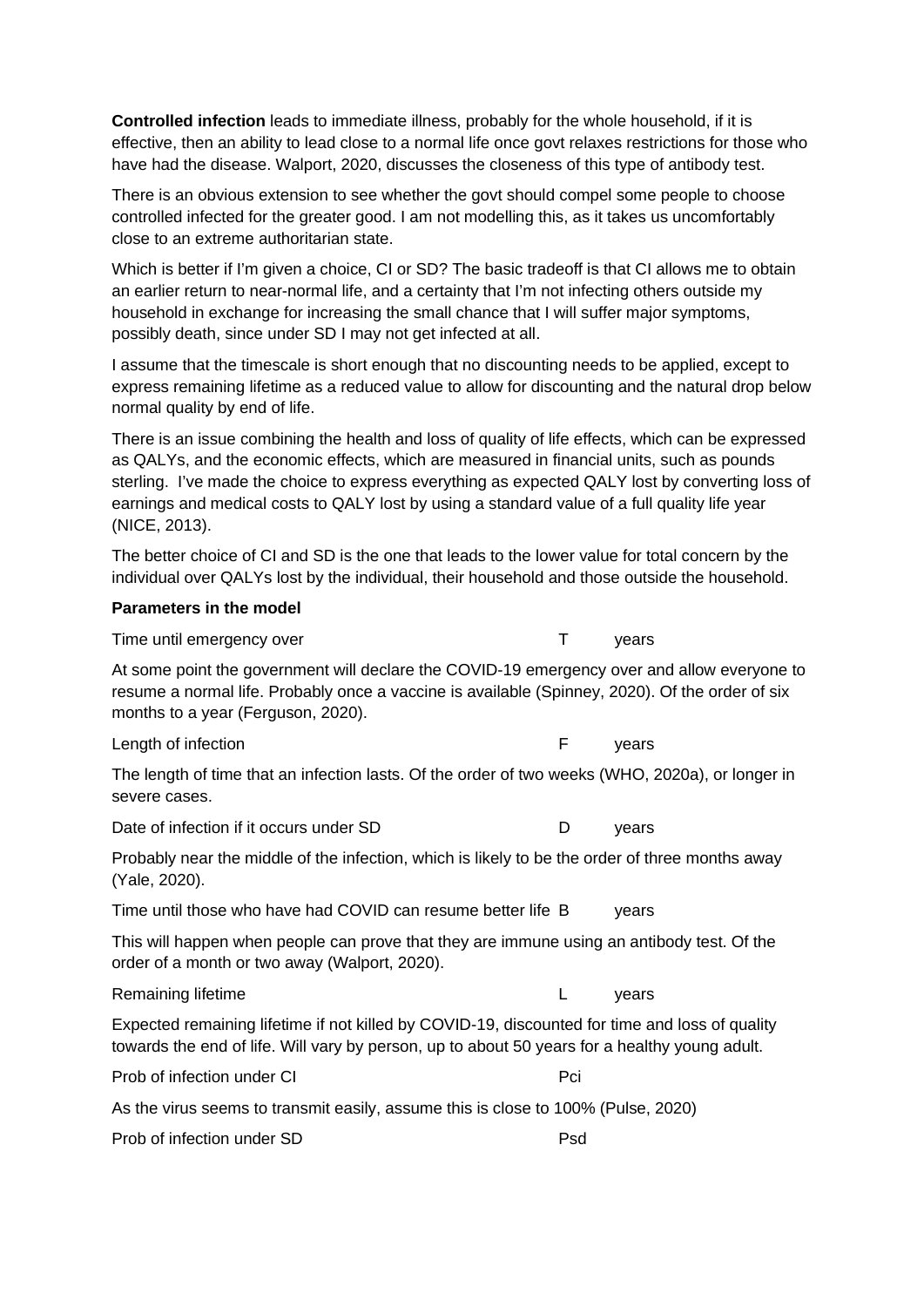**Controlled infection** leads to immediate illness, probably for the whole household, if it is effective, then an ability to lead close to a normal life once govt relaxes restrictions for those who have had the disease. Walport, 2020, discusses the closeness of this type of antibody test.

There is an obvious extension to see whether the govt should compel some people to choose controlled infected for the greater good. I am not modelling this, as it takes us uncomfortably close to an extreme authoritarian state.

Which is better if I'm given a choice, CI or SD? The basic tradeoff is that CI allows me to obtain an earlier return to near-normal life, and a certainty that I'm not infecting others outside my household in exchange for increasing the small chance that I will suffer major symptoms, possibly death, since under SD I may not get infected at all.

I assume that the timescale is short enough that no discounting needs to be applied, except to express remaining lifetime as a reduced value to allow for discounting and the natural drop below normal quality by end of life.

There is an issue combining the health and loss of quality of life effects, which can be expressed as QALYs, and the economic effects, which are measured in financial units, such as pounds sterling. I've made the choice to express everything as expected QALY lost by converting loss of earnings and medical costs to QALY lost by using a standard value of a full quality life year (NICE, 2013).

The better choice of CI and SD is the one that leads to the lower value for total concern by the individual over QALYs lost by the individual, their household and those outside the household.

#### **Parameters in the model**

Time until emergency over T vears At some point the government will declare the COVID-19 emergency over and allow everyone to

resume a normal life. Probably once a vaccine is available (Spinney, 2020). Of the order of six months to a year (Ferguson, 2020).

Length of infection **F** years

The length of time that an infection lasts. Of the order of two weeks (WHO, 2020a), or longer in severe cases.

Date of infection if it occurs under SD  $D$  vears

Probably near the middle of the infection, which is likely to be the order of three months away (Yale, 2020).

Time until those who have had COVID can resume better life B vears

This will happen when people can prove that they are immune using an antibody test. Of the order of a month or two away (Walport, 2020).

Remaining lifetime **Lating and Contract Contract Contract Contract Contract Contract Contract Contract Contract Contract Contract Contract Contract Contract Contract Contract Contract Contract Contract Contract Contract Co** 

Expected remaining lifetime if not killed by COVID-19, discounted for time and loss of quality towards the end of life. Will vary by person, up to about 50 years for a healthy young adult.

| Prob of infection under CI | Pci |
|----------------------------|-----|
|----------------------------|-----|

As the virus seems to transmit easily, assume this is close to 100% (Pulse, 2020)

Prob of infection under SD Psd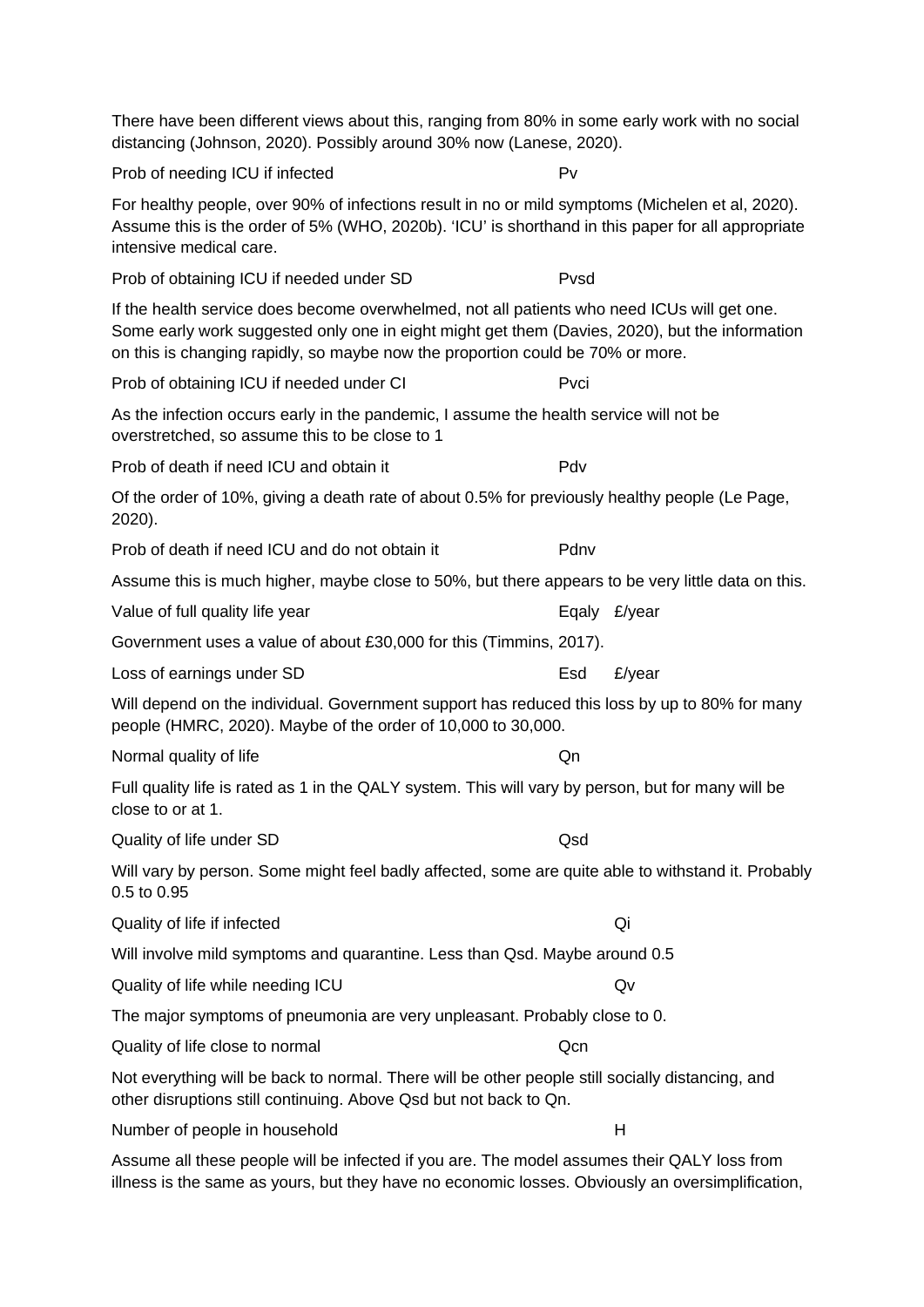| There have been different views about this, ranging from 80% in some early work with no social<br>distancing (Johnson, 2020). Possibly around 30% now (Lanese, 2020).                                                                                                           |               |
|---------------------------------------------------------------------------------------------------------------------------------------------------------------------------------------------------------------------------------------------------------------------------------|---------------|
| Prob of needing ICU if infected                                                                                                                                                                                                                                                 | Pv            |
| For healthy people, over 90% of infections result in no or mild symptoms (Michelen et al, 2020).<br>Assume this is the order of 5% (WHO, 2020b). 'ICU' is shorthand in this paper for all appropriate<br>intensive medical care.                                                |               |
| Prob of obtaining ICU if needed under SD                                                                                                                                                                                                                                        | Pvsd          |
| If the health service does become overwhelmed, not all patients who need ICUs will get one.<br>Some early work suggested only one in eight might get them (Davies, 2020), but the information<br>on this is changing rapidly, so maybe now the proportion could be 70% or more. |               |
| Prob of obtaining ICU if needed under CI                                                                                                                                                                                                                                        | Pvci          |
| As the infection occurs early in the pandemic, I assume the health service will not be<br>overstretched, so assume this to be close to 1                                                                                                                                        |               |
| Prob of death if need ICU and obtain it                                                                                                                                                                                                                                         | Pdv           |
| Of the order of 10%, giving a death rate of about 0.5% for previously healthy people (Le Page,<br>2020).                                                                                                                                                                        |               |
| Prob of death if need ICU and do not obtain it                                                                                                                                                                                                                                  | Pdnv          |
| Assume this is much higher, maybe close to 50%, but there appears to be very little data on this.                                                                                                                                                                               |               |
| Value of full quality life year                                                                                                                                                                                                                                                 | Eqaly £/year  |
| Government uses a value of about £30,000 for this (Timmins, 2017).                                                                                                                                                                                                              |               |
| Loss of earnings under SD                                                                                                                                                                                                                                                       | £/year<br>Esd |
| Will depend on the individual. Government support has reduced this loss by up to 80% for many<br>people (HMRC, 2020). Maybe of the order of 10,000 to 30,000.                                                                                                                   |               |
| Normal quality of life                                                                                                                                                                                                                                                          | Qn            |
| Full quality life is rated as 1 in the QALY system. This will vary by person, but for many will be<br>close to or at 1.                                                                                                                                                         |               |
| Quality of life under SD                                                                                                                                                                                                                                                        | Qsd           |
| Will vary by person. Some might feel badly affected, some are quite able to withstand it. Probably<br>0.5 to 0.95                                                                                                                                                               |               |
| Quality of life if infected                                                                                                                                                                                                                                                     | Qi            |
| Will involve mild symptoms and quarantine. Less than Qsd. Maybe around 0.5                                                                                                                                                                                                      |               |
| Quality of life while needing ICU                                                                                                                                                                                                                                               | Qv            |
| The major symptoms of pneumonia are very unpleasant. Probably close to 0.                                                                                                                                                                                                       |               |
| Quality of life close to normal                                                                                                                                                                                                                                                 | Qcn           |
| Not everything will be back to normal. There will be other people still socially distancing, and<br>other disruptions still continuing. Above Qsd but not back to Qn.                                                                                                           |               |
| Number of people in household                                                                                                                                                                                                                                                   | н             |

Assume all these people will be infected if you are. The model assumes their QALY loss from illness is the same as yours, but they have no economic losses. Obviously an oversimplification,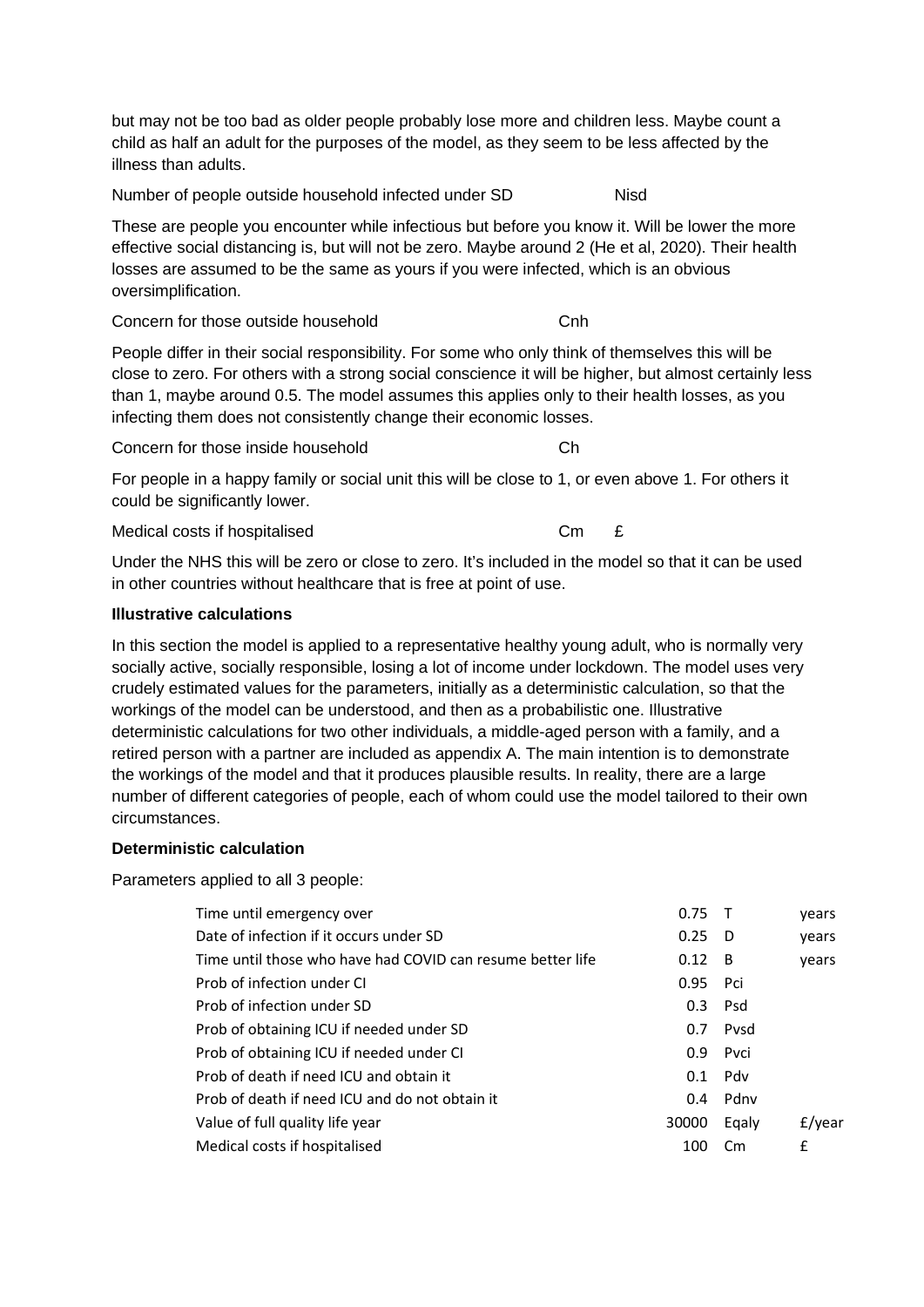but may not be too bad as older people probably lose more and children less. Maybe count a child as half an adult for the purposes of the model, as they seem to be less affected by the illness than adults.

Number of people outside household infected under SD Nisd

These are people you encounter while infectious but before you know it. Will be lower the more effective social distancing is, but will not be zero. Maybe around 2 (He et al, 2020). Their health losses are assumed to be the same as yours if you were infected, which is an obvious oversimplification.

Concern for those outside household Concern for those outside household

People differ in their social responsibility. For some who only think of themselves this will be close to zero. For others with a strong social conscience it will be higher, but almost certainly less than 1, maybe around 0.5. The model assumes this applies only to their health losses, as you infecting them does not consistently change their economic losses.

Concern for those inside household Checoncern Checoncern Checoncern Checoncern Checoncern Checoncern Checoncern Checoncern Checoncern Checoncern Checoncern Checoncern Checoncern Checoncern Checoncern Checoncern Checoncern

For people in a happy family or social unit this will be close to 1, or even above 1. For others it could be significantly lower.

Medical costs if hospitalised Cm  $E$ 

Under the NHS this will be zero or close to zero. It's included in the model so that it can be used in other countries without healthcare that is free at point of use.

#### **Illustrative calculations**

In this section the model is applied to a representative healthy young adult, who is normally very socially active, socially responsible, losing a lot of income under lockdown. The model uses very crudely estimated values for the parameters, initially as a deterministic calculation, so that the workings of the model can be understood, and then as a probabilistic one. Illustrative deterministic calculations for two other individuals, a middle-aged person with a family, and a retired person with a partner are included as appendix A. The main intention is to demonstrate the workings of the model and that it produces plausible results. In reality, there are a large number of different categories of people, each of whom could use the model tailored to their own circumstances.

## **Deterministic calculation**

Parameters applied to all 3 people:

| Time until emergency over                                  | 0.75             |           | years  |
|------------------------------------------------------------|------------------|-----------|--------|
| Date of infection if it occurs under SD                    | 0.25             | - D       | vears  |
| Time until those who have had COVID can resume better life | 0.12             | - B       | vears  |
| Prob of infection under CI                                 | 0.95             | Pci       |        |
| Prob of infection under SD                                 | 0.3              | Psd       |        |
| Prob of obtaining ICU if needed under SD                   | 0.7              | Pvsd      |        |
| Prob of obtaining ICU if needed under CI                   | 0.9 <sup>°</sup> | Pvci      |        |
| Prob of death if need ICU and obtain it                    | 0.1              | Pdv       |        |
| Prob of death if need ICU and do not obtain it             | 0.4              | Pdnv      |        |
| Value of full quality life year                            | 30000            | Eqaly     | £/year |
| Medical costs if hospitalised                              | 100              | <b>Cm</b> | £      |
|                                                            |                  |           |        |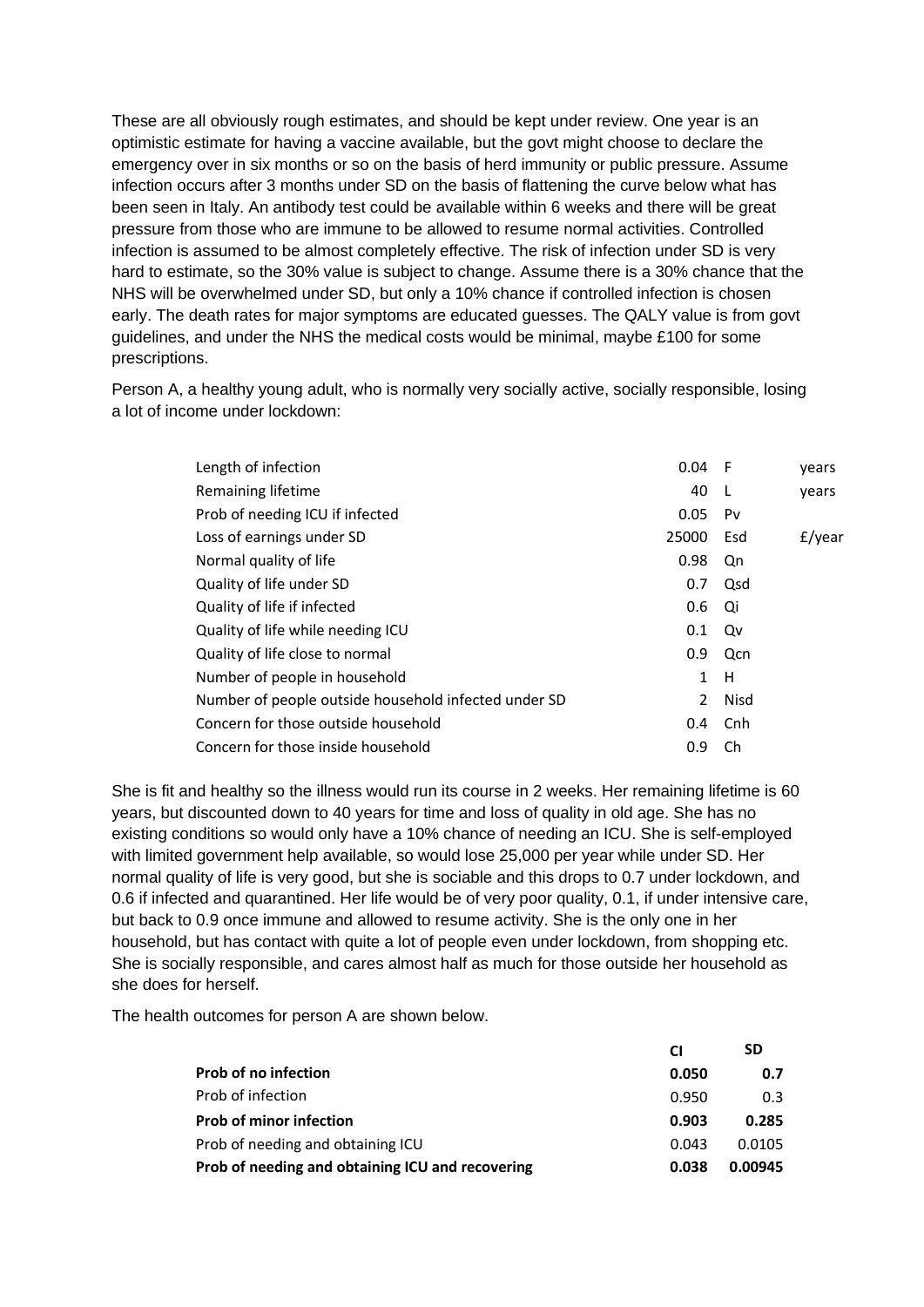These are all obviously rough estimates, and should be kept under review. One year is an optimistic estimate for having a vaccine available, but the govt might choose to declare the emergency over in six months or so on the basis of herd immunity or public pressure. Assume infection occurs after 3 months under SD on the basis of flattening the curve below what has been seen in Italy. An antibody test could be available within 6 weeks and there will be great pressure from those who are immune to be allowed to resume normal activities. Controlled infection is assumed to be almost completely effective. The risk of infection under SD is very hard to estimate, so the 30% value is subject to change. Assume there is a 30% chance that the NHS will be overwhelmed under SD, but only a 10% chance if controlled infection is chosen early. The death rates for major symptoms are educated guesses. The QALY value is from govt guidelines, and under the NHS the medical costs would be minimal, maybe £100 for some prescriptions.

Person A, a healthy young adult, who is normally very socially active, socially responsible, losing a lot of income under lockdown:

| Length of infection                                  | 0.04  | - F         | years     |
|------------------------------------------------------|-------|-------------|-----------|
| Remaining lifetime                                   | 40    | -L          | years     |
| Prob of needing ICU if infected                      | 0.05  | Pv          |           |
| Loss of earnings under SD                            | 25000 | Esd         | $f$ /year |
| Normal quality of life                               | 0.98  | Qn          |           |
| Quality of life under SD                             | 0.7   | Qsd         |           |
| Quality of life if infected                          | 0.6   | Qi          |           |
| Quality of life while needing ICU                    | 0.1   | Qv          |           |
| Quality of life close to normal                      | 0.9   | Qcn         |           |
| Number of people in household                        | 1     | H           |           |
| Number of people outside household infected under SD | 2     | <b>Nisd</b> |           |
| Concern for those outside household                  | 0.4   | Cnh         |           |
| Concern for those inside household                   | 0.9   | Ch          |           |

She is fit and healthy so the illness would run its course in 2 weeks. Her remaining lifetime is 60 years, but discounted down to 40 years for time and loss of quality in old age. She has no existing conditions so would only have a 10% chance of needing an ICU. She is self-employed with limited government help available, so would lose 25,000 per year while under SD. Her normal quality of life is very good, but she is sociable and this drops to 0.7 under lockdown, and 0.6 if infected and quarantined. Her life would be of very poor quality, 0.1, if under intensive care, but back to 0.9 once immune and allowed to resume activity. She is the only one in her household, but has contact with quite a lot of people even under lockdown, from shopping etc. She is socially responsible, and cares almost half as much for those outside her household as she does for herself.

The health outcomes for person A are shown below.

|                                                  | <b>CI</b> | SD      |
|--------------------------------------------------|-----------|---------|
| <b>Prob of no infection</b>                      | 0.050     | 0.7     |
| Prob of infection                                | 0.950     | 0.3     |
| <b>Prob of minor infection</b>                   | 0.903     | 0.285   |
| Prob of needing and obtaining ICU                | 0.043     | 0.0105  |
| Prob of needing and obtaining ICU and recovering | 0.038     | 0.00945 |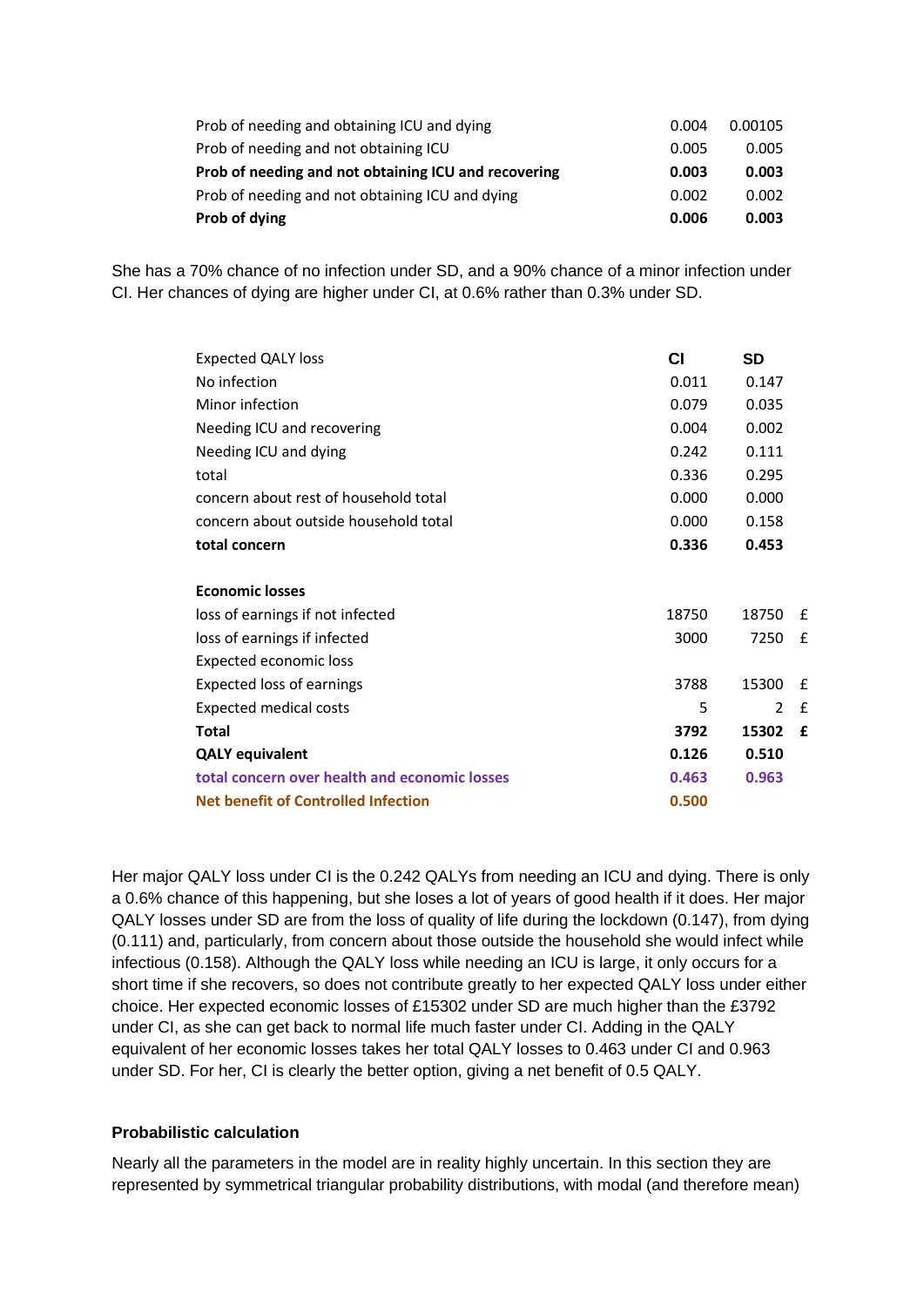| Prob of needing and obtaining ICU and dying          | 0.004 | 0.00105 |
|------------------------------------------------------|-------|---------|
| Prob of needing and not obtaining ICU                | 0.005 | 0.005   |
| Prob of needing and not obtaining ICU and recovering | 0.003 | 0.003   |
| Prob of needing and not obtaining ICU and dying      | 0.002 | 0.002   |
| Prob of dying                                        | 0.006 | 0.003   |

She has a 70% chance of no infection under SD, and a 90% chance of a minor infection under CI. Her chances of dying are higher under CI, at 0.6% rather than 0.3% under SD.

| Expected QALY loss                            | СI    | SD            |   |
|-----------------------------------------------|-------|---------------|---|
| No infection                                  | 0.011 | 0.147         |   |
| Minor infection                               | 0.079 | 0.035         |   |
| Needing ICU and recovering                    | 0.004 | 0.002         |   |
| Needing ICU and dying                         | 0.242 | 0.111         |   |
| total                                         | 0.336 | 0.295         |   |
| concern about rest of household total         | 0.000 | 0.000         |   |
| concern about outside household total         | 0.000 | 0.158         |   |
| total concern                                 | 0.336 | 0.453         |   |
|                                               |       |               |   |
| <b>Economic losses</b>                        |       |               |   |
| loss of earnings if not infected              | 18750 | 18750         | f |
| loss of earnings if infected                  | 3000  | 7250          | f |
| Expected economic loss                        |       |               |   |
| <b>Expected loss of earnings</b>              | 3788  | 15300         | £ |
| Expected medical costs                        | 5     | $\mathcal{P}$ | f |
| Total                                         | 3792  | 15302         | £ |
| <b>QALY equivalent</b>                        | 0.126 | 0.510         |   |
| total concern over health and economic losses | 0.463 | 0.963         |   |
| Net benefit of Controlled Infection           | 0.500 |               |   |

Her major QALY loss under CI is the 0.242 QALYs from needing an ICU and dying. There is only a 0.6% chance of this happening, but she loses a lot of years of good health if it does. Her major QALY losses under SD are from the loss of quality of life during the lockdown (0.147), from dying (0.111) and, particularly, from concern about those outside the household she would infect while infectious (0.158). Although the QALY loss while needing an ICU is large, it only occurs for a short time if she recovers, so does not contribute greatly to her expected QALY loss under either choice. Her expected economic losses of £15302 under SD are much higher than the £3792 under CI, as she can get back to normal life much faster under CI. Adding in the QALY equivalent of her economic losses takes her total QALY losses to 0.463 under CI and 0.963 under SD. For her, CI is clearly the better option, giving a net benefit of 0.5 QALY.

#### **Probabilistic calculation**

Nearly all the parameters in the model are in reality highly uncertain. In this section they are represented by symmetrical triangular probability distributions, with modal (and therefore mean)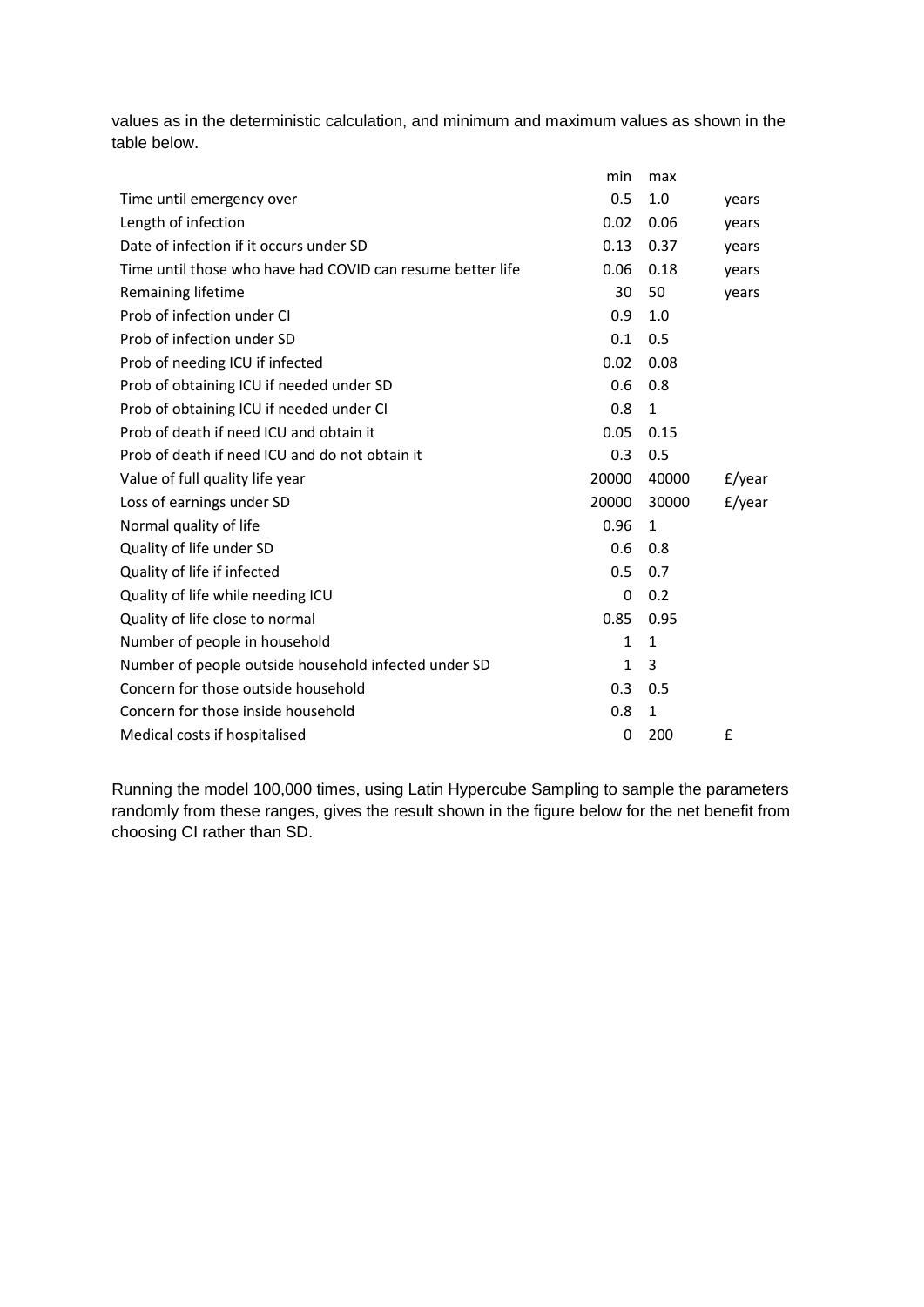values as in the deterministic calculation, and minimum and maximum values as shown in the table below.

|                                                            | min          | max          |           |
|------------------------------------------------------------|--------------|--------------|-----------|
| Time until emergency over                                  | 0.5          | 1.0          | years     |
| Length of infection                                        | 0.02         | 0.06         | years     |
| Date of infection if it occurs under SD                    | 0.13         | 0.37         | years     |
| Time until those who have had COVID can resume better life | 0.06         | 0.18         | years     |
| Remaining lifetime                                         | 30           | 50           | years     |
| Prob of infection under CI                                 | 0.9          | 1.0          |           |
| Prob of infection under SD                                 | 0.1          | 0.5          |           |
| Prob of needing ICU if infected                            | 0.02         | 0.08         |           |
| Prob of obtaining ICU if needed under SD                   | 0.6          | 0.8          |           |
| Prob of obtaining ICU if needed under CI                   | 0.8          | 1            |           |
| Prob of death if need ICU and obtain it                    | 0.05         | 0.15         |           |
| Prob of death if need ICU and do not obtain it             | 0.3          | 0.5          |           |
| Value of full quality life year                            | 20000        | 40000        | $f$ /year |
| Loss of earnings under SD                                  | 20000        | 30000        | $f$ /year |
| Normal quality of life                                     | 0.96         | 1            |           |
| Quality of life under SD                                   | 0.6          | 0.8          |           |
| Quality of life if infected                                | 0.5          | 0.7          |           |
| Quality of life while needing ICU                          | 0            | 0.2          |           |
| Quality of life close to normal                            | 0.85         | 0.95         |           |
| Number of people in household                              | $\mathbf{1}$ | 1            |           |
| Number of people outside household infected under SD       | 1            | 3            |           |
| Concern for those outside household                        | 0.3          | 0.5          |           |
| Concern for those inside household                         | 0.8          | $\mathbf{1}$ |           |
| Medical costs if hospitalised                              | 0            | 200          | £         |

Running the model 100,000 times, using Latin Hypercube Sampling to sample the parameters randomly from these ranges, gives the result shown in the figure below for the net benefit from choosing CI rather than SD.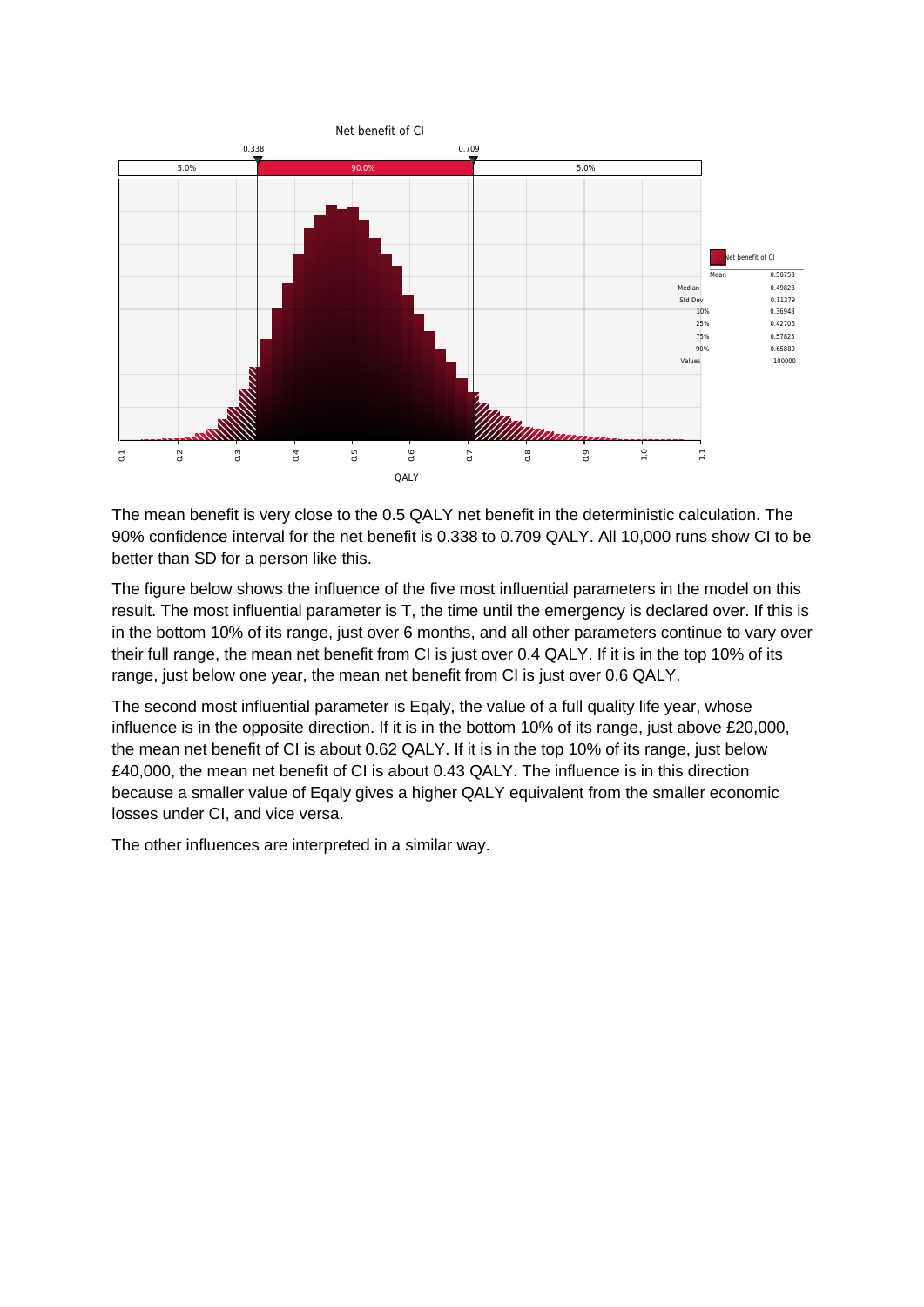

The mean benefit is very close to the 0.5 QALY net benefit in the deterministic calculation. The 90% confidence interval for the net benefit is 0.338 to 0.709 QALY. All 10,000 runs show CI to be better than SD for a person like this.

The figure below shows the influence of the five most influential parameters in the model on this result. The most influential parameter is T, the time until the emergency is declared over. If this is in the bottom 10% of its range, just over 6 months, and all other parameters continue to vary over their full range, the mean net benefit from CI is just over 0.4 QALY. If it is in the top 10% of its range, just below one year, the mean net benefit from CI is just over 0.6 QALY.

The second most influential parameter is Eqaly, the value of a full quality life year, whose influence is in the opposite direction. If it is in the bottom 10% of its range, just above £20,000, the mean net benefit of CI is about 0.62 QALY. If it is in the top 10% of its range, just below £40,000, the mean net benefit of CI is about 0.43 QALY. The influence is in this direction because a smaller value of Eqaly gives a higher QALY equivalent from the smaller economic losses under CI, and vice versa.

The other influences are interpreted in a similar way.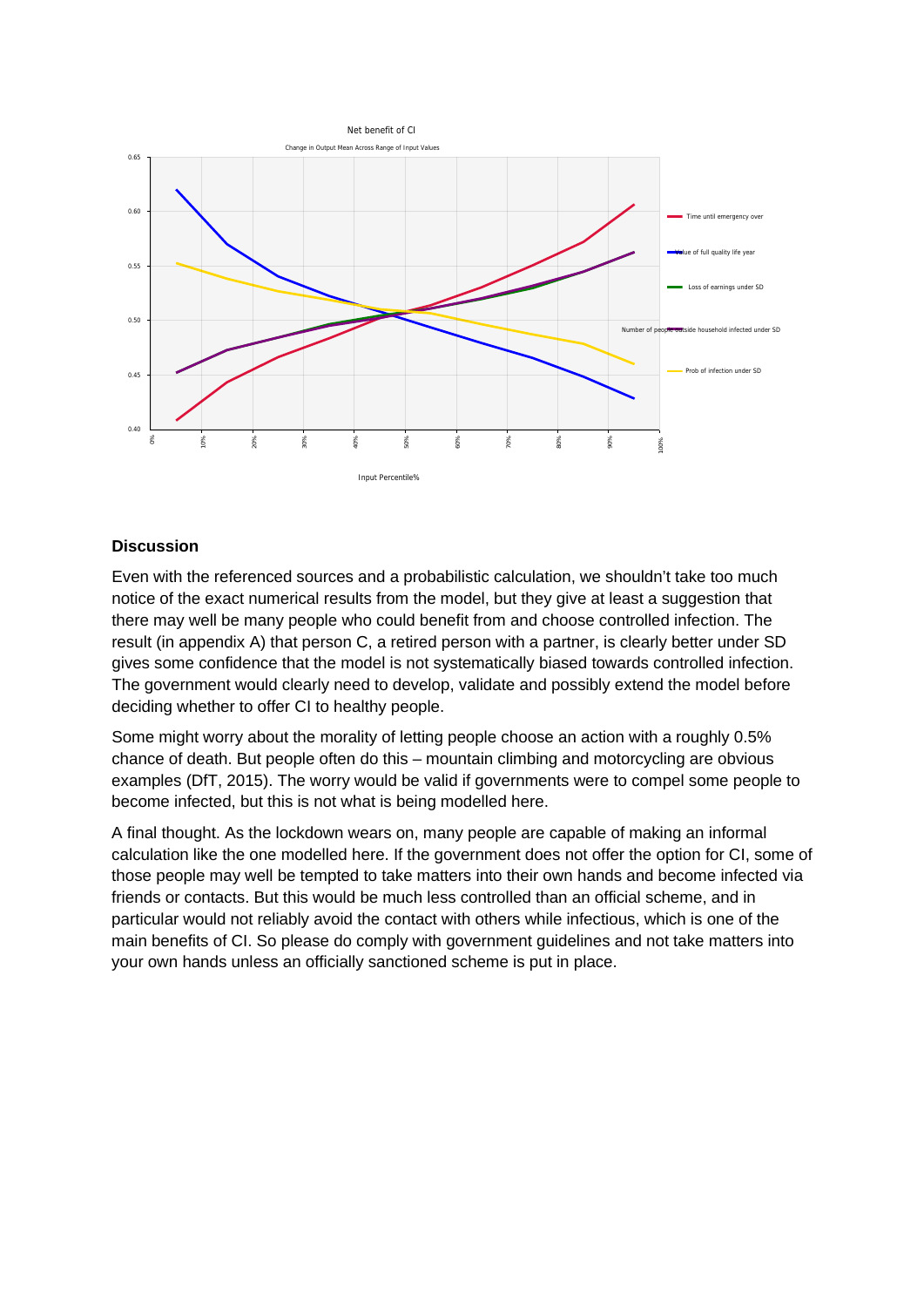

### **Discussion**

Even with the referenced sources and a probabilistic calculation, we shouldn't take too much notice of the exact numerical results from the model, but they give at least a suggestion that there may well be many people who could benefit from and choose controlled infection. The result (in appendix A) that person C, a retired person with a partner, is clearly better under SD gives some confidence that the model is not systematically biased towards controlled infection. The government would clearly need to develop, validate and possibly extend the model before deciding whether to offer CI to healthy people. Examples and a probabilistic calculation, we show the method of the exact numerical results from the model, but they give at lead there may well be many people who could benefit from and choose consult (in appendix A) tha

Some might worry about the morality of letting people choose an action with a roughly 0.5% chance of death. But people often do this – mountain climbing and motorcycling are obvious examples (DfT, 2015). The worry would be valid if governments were to compel some people to become infected, but this is not what is being modelled here.

A final thought. As the lockdown wears on, many people are capable of making an informal calculation like the one modelled here. If the government does not offer the option for CI, some of those people may well be tempted to take matters into their own hands and become infected via friends or contacts. But this would be much less controlled than an official scheme, and in particular would not reliably avoid the contact with others while infectious, which is one of the main benefits of CI. So please do comply with government guidelines and not take matters into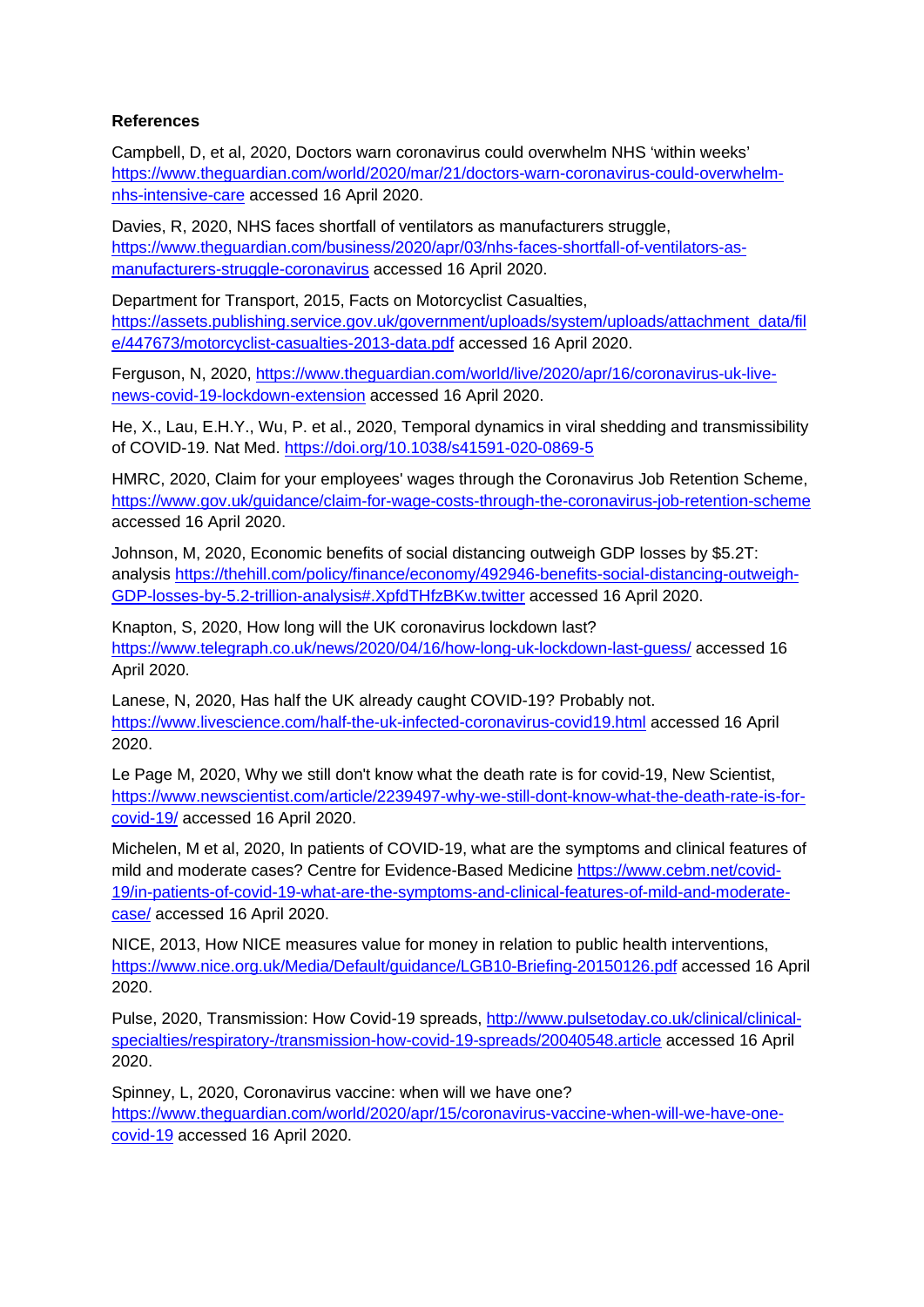## **References**

Campbell, D, et al, 2020, Doctors warn coronavirus could overwhelm NHS 'within weeks' [https://www.theguardian.com/world/2020/mar/21/doctors-warn-coronavirus-could-overwhelm](https://www.theguardian.com/world/2020/mar/21/doctors-warn-coronavirus-could-overwhelm-nhs-intensive-care)[nhs-intensive-care](https://www.theguardian.com/world/2020/mar/21/doctors-warn-coronavirus-could-overwhelm-nhs-intensive-care) accessed 16 April 2020.

Davies, R, 2020, NHS faces shortfall of ventilators as manufacturers struggle, [https://www.theguardian.com/business/2020/apr/03/nhs-faces-shortfall-of-ventilators-as](https://www.theguardian.com/business/2020/apr/03/nhs-faces-shortfall-of-ventilators-as-manufacturers-struggle-coronavirus)[manufacturers-struggle-coronavirus](https://www.theguardian.com/business/2020/apr/03/nhs-faces-shortfall-of-ventilators-as-manufacturers-struggle-coronavirus) accessed 16 April 2020.

Department for Transport, 2015, Facts on Motorcyclist Casualties, [https://assets.publishing.service.gov.uk/government/uploads/system/uploads/attachment\\_data/fil](https://assets.publishing.service.gov.uk/government/uploads/system/uploads/attachment_data/file/447673/motorcyclist-casualties-2013-data.pdf) [e/447673/motorcyclist-casualties-2013-data.pdf](https://assets.publishing.service.gov.uk/government/uploads/system/uploads/attachment_data/file/447673/motorcyclist-casualties-2013-data.pdf) accessed 16 April 2020.

Ferguson, N, 2020, [https://www.theguardian.com/world/live/2020/apr/16/coronavirus-uk-live](https://www.theguardian.com/world/live/2020/apr/16/coronavirus-uk-live-news-covid-19-lockdown-extension)[news-covid-19-lockdown-extension](https://www.theguardian.com/world/live/2020/apr/16/coronavirus-uk-live-news-covid-19-lockdown-extension) accessed 16 April 2020.

He, X., Lau, E.H.Y., Wu, P. et al., 2020, Temporal dynamics in viral shedding and transmissibility of COVID-19. Nat Med.<https://doi.org/10.1038/s41591-020-0869-5>

HMRC, 2020, Claim for your employees' wages through the Coronavirus Job Retention Scheme, <https://www.gov.uk/guidance/claim-for-wage-costs-through-the-coronavirus-job-retention-scheme> accessed 16 April 2020.

Johnson, M, 2020, Economic benefits of social distancing outweigh GDP losses by \$5.2T: analysis [https://thehill.com/policy/finance/economy/492946-benefits-social-distancing-outweigh-](https://thehill.com/policy/finance/economy/492946-benefits-social-distancing-outweigh-GDP-losses-by-5.2-trillion-analysis#.XpfdTHfzBKw.twitter)[GDP-losses-by-5.2-trillion-analysis#.XpfdTHfzBKw.twitter](https://thehill.com/policy/finance/economy/492946-benefits-social-distancing-outweigh-GDP-losses-by-5.2-trillion-analysis#.XpfdTHfzBKw.twitter) accessed 16 April 2020.

Knapton, S, 2020, How long will the UK coronavirus lockdown last? <https://www.telegraph.co.uk/news/2020/04/16/how-long-uk-lockdown-last-guess/> accessed 16 April 2020.

Lanese, N, 2020, Has half the UK already caught COVID-19? Probably not. <https://www.livescience.com/half-the-uk-infected-coronavirus-covid19.html> accessed 16 April 2020.

Le Page M, 2020, Why we still don't know what the death rate is for covid-19, New Scientist, [https://www.newscientist.com/article/2239497-why-we-still-dont-know-what-the-death-rate-is-for](https://www.newscientist.com/article/2239497-why-we-still-dont-know-what-the-death-rate-is-for-covid-19/)[covid-19/](https://www.newscientist.com/article/2239497-why-we-still-dont-know-what-the-death-rate-is-for-covid-19/) accessed 16 April 2020.

Michelen, M et al, 2020, In patients of COVID-19, what are the symptoms and clinical features of mild and moderate cases? Centre for Evidence-Based Medicine [https://www.cebm.net/covid-](https://www.cebm.net/covid-19/in-patients-of-covid-19-what-are-the-symptoms-and-clinical-features-of-mild-and-moderate-case/)[19/in-patients-of-covid-19-what-are-the-symptoms-and-clinical-features-of-mild-and-moderate](https://www.cebm.net/covid-19/in-patients-of-covid-19-what-are-the-symptoms-and-clinical-features-of-mild-and-moderate-case/)[case/](https://www.cebm.net/covid-19/in-patients-of-covid-19-what-are-the-symptoms-and-clinical-features-of-mild-and-moderate-case/) accessed 16 April 2020.

NICE, 2013, How NICE measures value for money in relation to public health interventions, <https://www.nice.org.uk/Media/Default/guidance/LGB10-Briefing-20150126.pdf> accessed 16 April 2020.

Pulse, 2020, Transmission: How Covid-19 spreads, [http://www.pulsetoday.co.uk/clinical/clinical](http://www.pulsetoday.co.uk/clinical/clinical-specialties/respiratory-/transmission-how-covid-19-spreads/20040548.article)[specialties/respiratory-/transmission-how-covid-19-spreads/20040548.article](http://www.pulsetoday.co.uk/clinical/clinical-specialties/respiratory-/transmission-how-covid-19-spreads/20040548.article) accessed 16 April 2020.

Spinney, L, 2020, Coronavirus vaccine: when will we have one? [https://www.theguardian.com/world/2020/apr/15/coronavirus-vaccine-when-will-we-have-one](https://www.theguardian.com/world/2020/apr/15/coronavirus-vaccine-when-will-we-have-one-covid-19)[covid-19](https://www.theguardian.com/world/2020/apr/15/coronavirus-vaccine-when-will-we-have-one-covid-19) accessed 16 April 2020.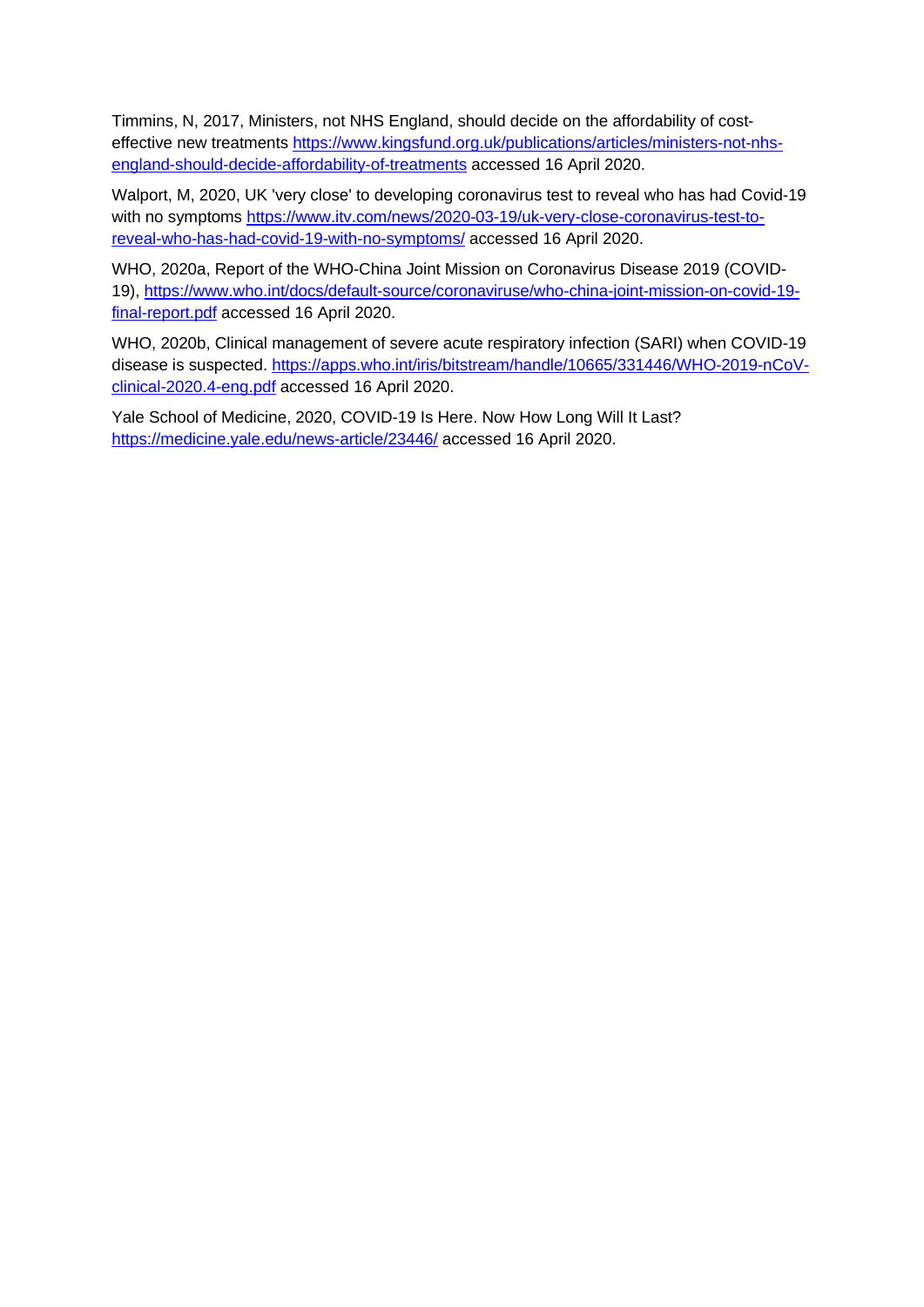Timmins, N, 2017, Ministers, not NHS England, should decide on the affordability of costeffective new treatments [https://www.kingsfund.org.uk/publications/articles/ministers-not-nhs](https://www.kingsfund.org.uk/publications/articles/ministers-not-nhs-england-should-decide-affordability-of-treatments)[england-should-decide-affordability-of-treatments](https://www.kingsfund.org.uk/publications/articles/ministers-not-nhs-england-should-decide-affordability-of-treatments) accessed 16 April 2020.

Walport, M, 2020, UK 'very close' to developing coronavirus test to reveal who has had Covid-19 with no symptoms [https://www.itv.com/news/2020-03-19/uk-very-close-coronavirus-test-to](https://www.itv.com/news/2020-03-19/uk-very-close-coronavirus-test-to-reveal-who-has-had-covid-19-with-no-symptoms/)[reveal-who-has-had-covid-19-with-no-symptoms/](https://www.itv.com/news/2020-03-19/uk-very-close-coronavirus-test-to-reveal-who-has-had-covid-19-with-no-symptoms/) accessed 16 April 2020.

WHO, 2020a, Report of the WHO-China Joint Mission on Coronavirus Disease 2019 (COVID-19), [https://www.who.int/docs/default-source/coronaviruse/who-china-joint-mission-on-covid-19](https://www.who.int/docs/default-source/coronaviruse/who-china-joint-mission-on-covid-19-final-report.pdf) [final-report.pdf](https://www.who.int/docs/default-source/coronaviruse/who-china-joint-mission-on-covid-19-final-report.pdf) accessed 16 April 2020.

WHO, 2020b, Clinical management of severe acute respiratory infection (SARI) when COVID-19 disease is suspected. [https://apps.who.int/iris/bitstream/handle/10665/331446/WHO-2019-nCoV](https://apps.who.int/iris/bitstream/handle/10665/331446/WHO-2019-nCoV-clinical-2020.4-eng.pdf)[clinical-2020.4-eng.pdf](https://apps.who.int/iris/bitstream/handle/10665/331446/WHO-2019-nCoV-clinical-2020.4-eng.pdf) accessed 16 April 2020.

Yale School of Medicine, 2020, COVID-19 Is Here. Now How Long Will It Last? <https://medicine.yale.edu/news-article/23446/> accessed 16 April 2020.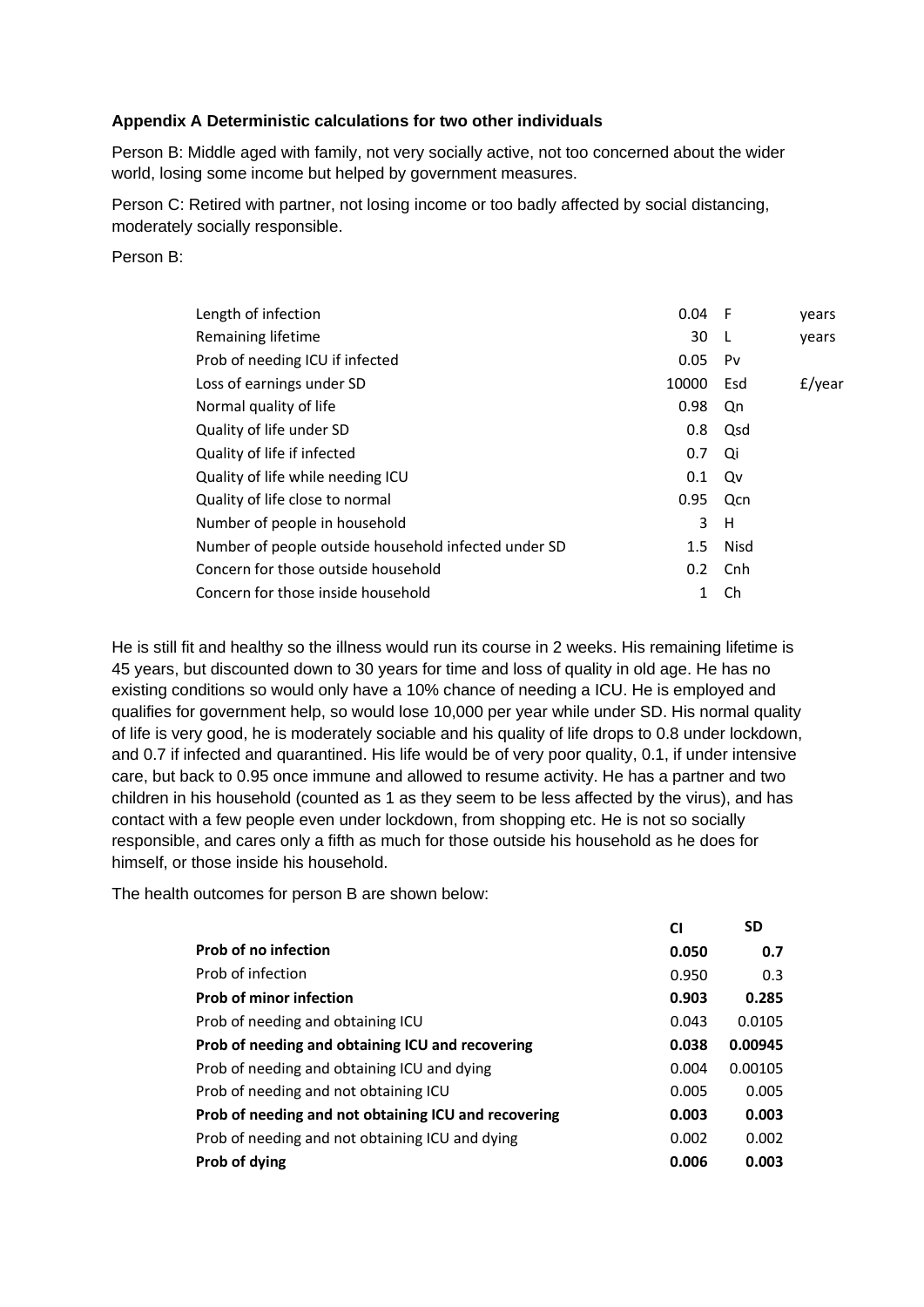## **Appendix A Deterministic calculations for two other individuals**

Person B: Middle aged with family, not very socially active, not too concerned about the wider world, losing some income but helped by government measures.

Person C: Retired with partner, not losing income or too badly affected by social distancing, moderately socially responsible.

#### Person B:

| Length of infection                                  | 0.04             | - F          | years     |
|------------------------------------------------------|------------------|--------------|-----------|
| Remaining lifetime                                   | 30               | $\mathbf{I}$ | vears     |
| Prob of needing ICU if infected                      | 0.05             | Pv           |           |
| Loss of earnings under SD                            | 10000            | Esd          | $f$ /year |
| Normal quality of life                               | 0.98             | Qn           |           |
| Quality of life under SD                             | 0.8              | Qsd          |           |
| Quality of life if infected                          | 0.7              | Qi           |           |
| Quality of life while needing ICU                    | 0.1              | Qv           |           |
| Quality of life close to normal                      | 0.95             | Qcn          |           |
| Number of people in household                        | 3                | H            |           |
| Number of people outside household infected under SD | $1.5\,$          | Nisd         |           |
| Concern for those outside household                  | 0.2 <sub>0</sub> | Cnh          |           |
| Concern for those inside household                   | 1                | Ch           |           |
|                                                      |                  |              |           |

He is still fit and healthy so the illness would run its course in 2 weeks. His remaining lifetime is 45 years, but discounted down to 30 years for time and loss of quality in old age. He has no existing conditions so would only have a 10% chance of needing a ICU. He is employed and qualifies for government help, so would lose 10,000 per year while under SD. His normal quality of life is very good, he is moderately sociable and his quality of life drops to 0.8 under lockdown, and 0.7 if infected and quarantined. His life would be of very poor quality, 0.1, if under intensive care, but back to 0.95 once immune and allowed to resume activity. He has a partner and two children in his household (counted as 1 as they seem to be less affected by the virus), and has contact with a few people even under lockdown, from shopping etc. He is not so socially responsible, and cares only a fifth as much for those outside his household as he does for himself, or those inside his household.

The health outcomes for person B are shown below:

|                                                      | CI    | <b>SD</b> |
|------------------------------------------------------|-------|-----------|
| <b>Prob of no infection</b>                          | 0.050 | 0.7       |
| Prob of infection                                    | 0.950 | 0.3       |
| <b>Prob of minor infection</b>                       | 0.903 | 0.285     |
| Prob of needing and obtaining ICU                    | 0.043 | 0.0105    |
| Prob of needing and obtaining ICU and recovering     | 0.038 | 0.00945   |
| Prob of needing and obtaining ICU and dying          | 0.004 | 0.00105   |
| Prob of needing and not obtaining ICU                | 0.005 | 0.005     |
| Prob of needing and not obtaining ICU and recovering | 0.003 | 0.003     |
| Prob of needing and not obtaining ICU and dying      | 0.002 | 0.002     |
| Prob of dying                                        | 0.006 | 0.003     |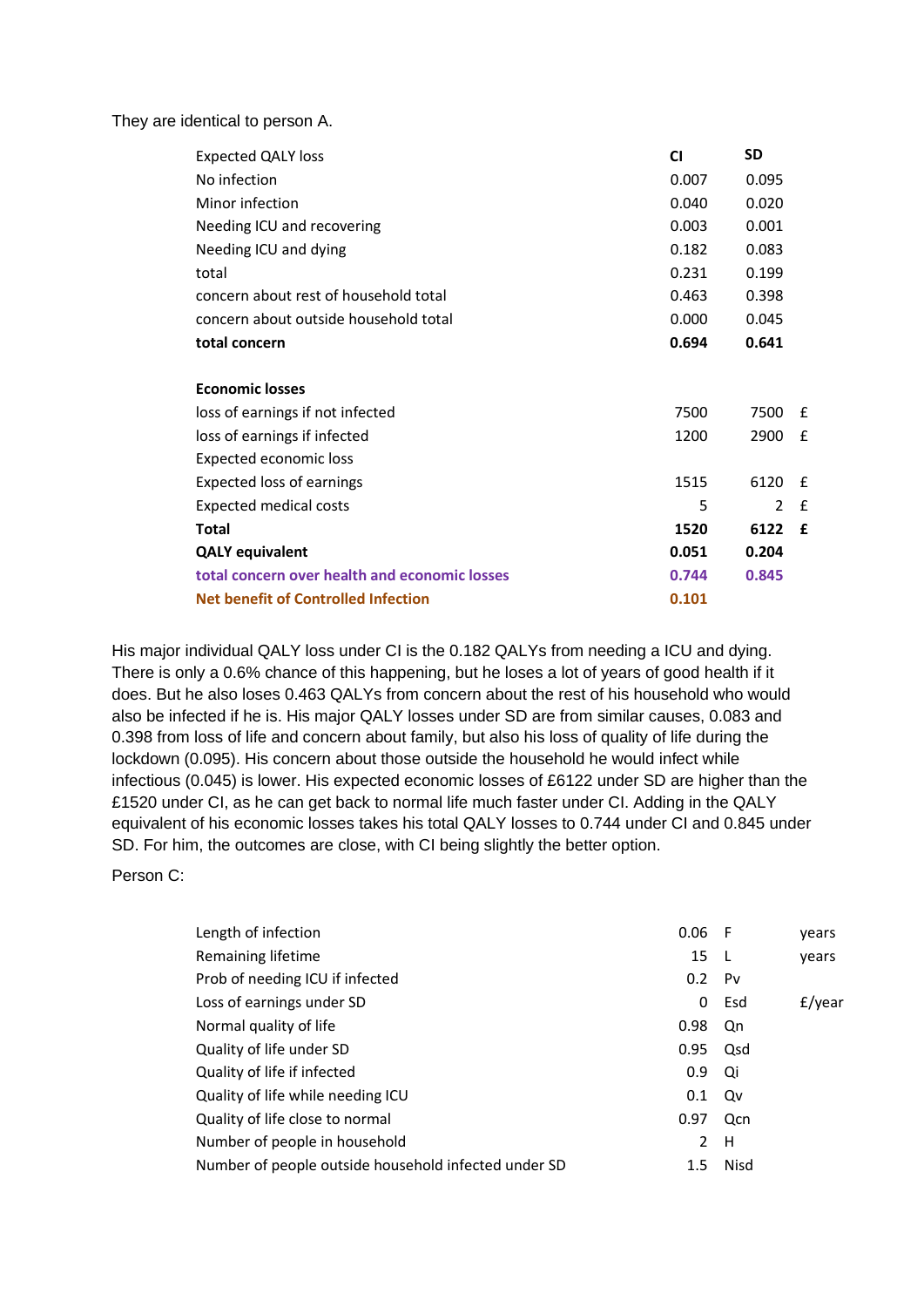They are identical to person A.

| <b>Expected QALY loss</b>                     | <b>CI</b> | <b>SD</b>     |             |
|-----------------------------------------------|-----------|---------------|-------------|
| No infection                                  | 0.007     | 0.095         |             |
| Minor infection                               | 0.040     | 0.020         |             |
| Needing ICU and recovering                    | 0.003     | 0.001         |             |
| Needing ICU and dying                         | 0.182     | 0.083         |             |
| total                                         | 0.231     | 0.199         |             |
| concern about rest of household total         | 0.463     | 0.398         |             |
| concern about outside household total         | 0.000     | 0.045         |             |
| total concern                                 | 0.694     | 0.641         |             |
|                                               |           |               |             |
| <b>Economic losses</b>                        |           |               |             |
| loss of earnings if not infected              | 7500      | 7500          | £           |
| loss of earnings if infected                  | 1200      | 2900          | £           |
| <b>Expected economic loss</b>                 |           |               |             |
| <b>Expected loss of earnings</b>              | 1515      | 6120          | £           |
| Expected medical costs                        | 5         | $\mathcal{P}$ | £           |
| Total                                         | 1520      | 6122          | $\mathbf f$ |
| <b>QALY equivalent</b>                        | 0.051     | 0.204         |             |
| total concern over health and economic losses | 0.744     | 0.845         |             |
| <b>Net benefit of Controlled Infection</b>    | 0.101     |               |             |

His major individual QALY loss under CI is the 0.182 QALYs from needing a ICU and dying. There is only a 0.6% chance of this happening, but he loses a lot of years of good health if it does. But he also loses 0.463 QALYs from concern about the rest of his household who would also be infected if he is. His major QALY losses under SD are from similar causes, 0.083 and 0.398 from loss of life and concern about family, but also his loss of quality of life during the lockdown (0.095). His concern about those outside the household he would infect while infectious (0.045) is lower. His expected economic losses of £6122 under SD are higher than the £1520 under CI, as he can get back to normal life much faster under CI. Adding in the QALY equivalent of his economic losses takes his total QALY losses to 0.744 under CI and 0.845 under SD. For him, the outcomes are close, with CI being slightly the better option.

#### Person C:

| Length of infection                                  | $0.06$ F      |                | years  |
|------------------------------------------------------|---------------|----------------|--------|
| Remaining lifetime                                   | 15            | -L             | years  |
| Prob of needing ICU if infected                      | $0.2^{\circ}$ | P <sub>V</sub> |        |
| Loss of earnings under SD                            | 0             | Esd            | £/year |
| Normal quality of life                               | 0.98          | Qn             |        |
| Quality of life under SD                             | 0.95          | Qsd            |        |
| Quality of life if infected                          | 0.9           | Qi             |        |
| Quality of life while needing ICU                    | 0.1           | Qv             |        |
| Quality of life close to normal                      | 0.97          | Qcn            |        |
| Number of people in household                        | 2             | H              |        |
| Number of people outside household infected under SD | 1.5           | Nisd           |        |
|                                                      |               |                |        |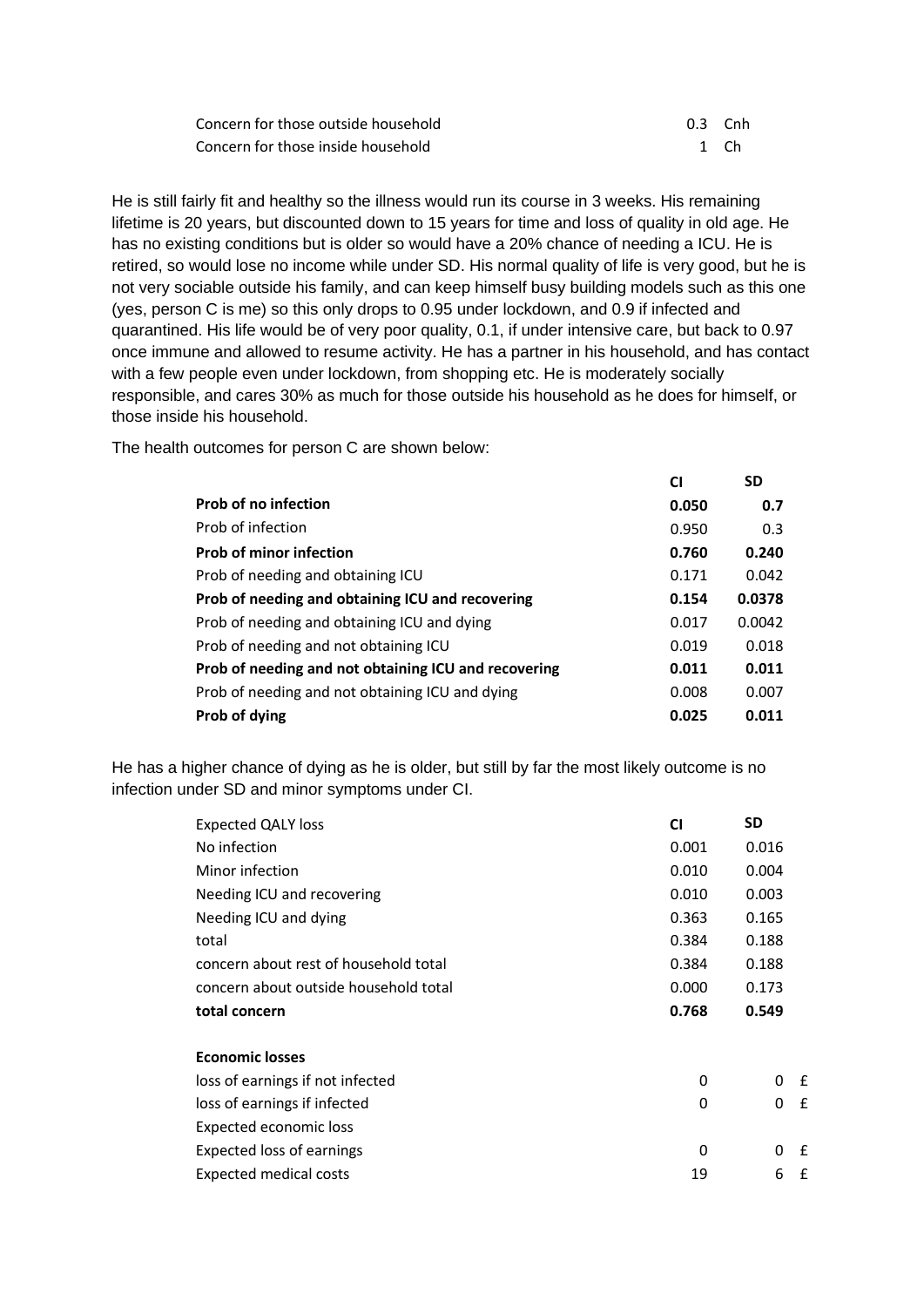| Concern for those outside household | 0.3 Cnh |  |
|-------------------------------------|---------|--|
| Concern for those inside household  | 1 Ch    |  |

He is still fairly fit and healthy so the illness would run its course in 3 weeks. His remaining lifetime is 20 years, but discounted down to 15 years for time and loss of quality in old age. He has no existing conditions but is older so would have a 20% chance of needing a ICU. He is retired, so would lose no income while under SD. His normal quality of life is very good, but he is not very sociable outside his family, and can keep himself busy building models such as this one (yes, person C is me) so this only drops to 0.95 under lockdown, and 0.9 if infected and quarantined. His life would be of very poor quality, 0.1, if under intensive care, but back to 0.97 once immune and allowed to resume activity. He has a partner in his household, and has contact with a few people even under lockdown, from shopping etc. He is moderately socially responsible, and cares 30% as much for those outside his household as he does for himself, or those inside his household.

The health outcomes for person C are shown below:

|                                                      | CI    | <b>SD</b> |
|------------------------------------------------------|-------|-----------|
| <b>Prob of no infection</b>                          | 0.050 | 0.7       |
| Prob of infection                                    | 0.950 | 0.3       |
| <b>Prob of minor infection</b>                       | 0.760 | 0.240     |
| Prob of needing and obtaining ICU                    | 0.171 | 0.042     |
| Prob of needing and obtaining ICU and recovering     | 0.154 | 0.0378    |
| Prob of needing and obtaining ICU and dying          | 0.017 | 0.0042    |
| Prob of needing and not obtaining ICU                | 0.019 | 0.018     |
| Prob of needing and not obtaining ICU and recovering | 0.011 | 0.011     |
| Prob of needing and not obtaining ICU and dying      | 0.008 | 0.007     |
| Prob of dying                                        | 0.025 | 0.011     |

He has a higher chance of dying as he is older, but still by far the most likely outcome is no infection under SD and minor symptoms under CI.

| <b>CI</b> | <b>SD</b> |   |
|-----------|-----------|---|
| 0.001     | 0.016     |   |
| 0.010     | 0.004     |   |
| 0.010     | 0.003     |   |
| 0.363     | 0.165     |   |
| 0.384     | 0.188     |   |
| 0.384     | 0.188     |   |
| 0.000     | 0.173     |   |
| 0.768     | 0.549     |   |
|           |           |   |
|           |           |   |
| 0         | 0         | £ |
| 0         | 0         | £ |
|           |           |   |
|           |           |   |
| 0         | 0         | £ |
|           |           |   |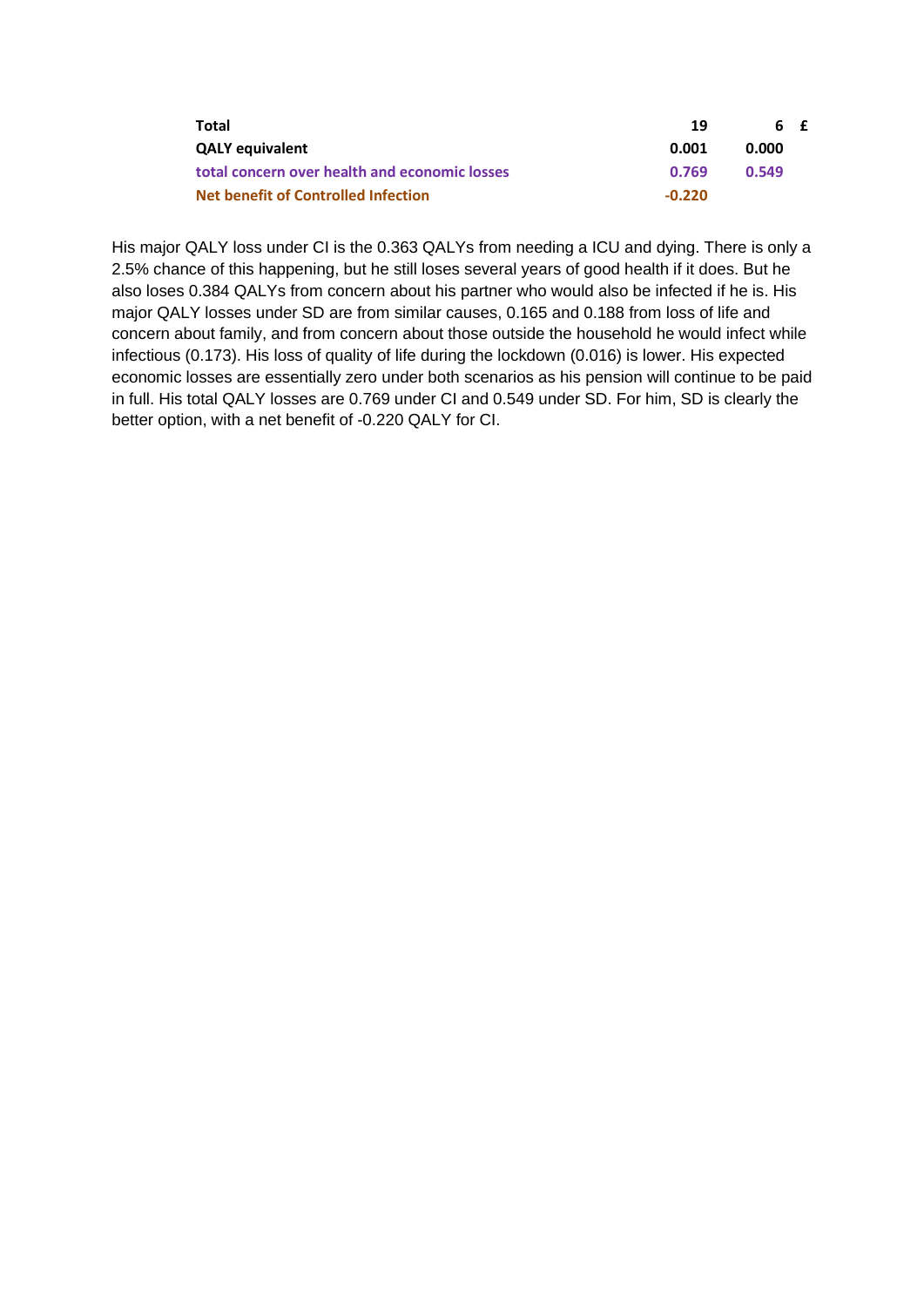| Total                                         | 19       | 6 £   |  |
|-----------------------------------------------|----------|-------|--|
| <b>QALY equivalent</b>                        | 0.001    | 0.000 |  |
| total concern over health and economic losses | 0.769    | 0.549 |  |
| <b>Net benefit of Controlled Infection</b>    | $-0.220$ |       |  |

His major QALY loss under CI is the 0.363 QALYs from needing a ICU and dying. There is only a 2.5% chance of this happening, but he still loses several years of good health if it does. But he also loses 0.384 QALYs from concern about his partner who would also be infected if he is. His major QALY losses under SD are from similar causes, 0.165 and 0.188 from loss of life and concern about family, and from concern about those outside the household he would infect while infectious (0.173). His loss of quality of life during the lockdown (0.016) is lower. His expected economic losses are essentially zero under both scenarios as his pension will continue to be paid in full. His total QALY losses are 0.769 under CI and 0.549 under SD. For him, SD is clearly the better option, with a net benefit of -0.220 QALY for CI.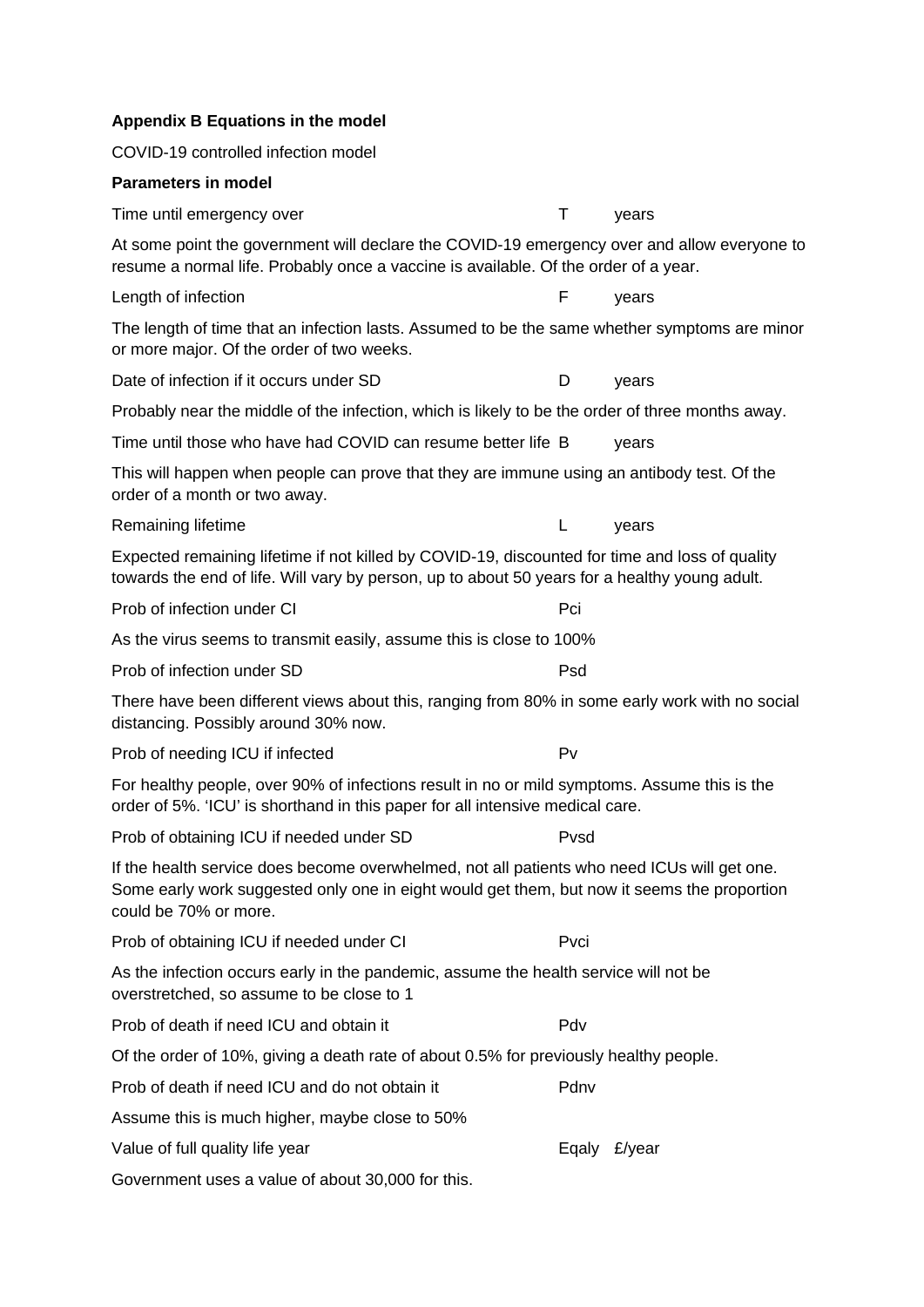| Appendix B Equations in the model                                                                                                                                                                                   |      |              |
|---------------------------------------------------------------------------------------------------------------------------------------------------------------------------------------------------------------------|------|--------------|
| COVID-19 controlled infection model                                                                                                                                                                                 |      |              |
| <b>Parameters in model</b>                                                                                                                                                                                          |      |              |
| Time until emergency over                                                                                                                                                                                           | Τ    | years        |
| At some point the government will declare the COVID-19 emergency over and allow everyone to<br>resume a normal life. Probably once a vaccine is available. Of the order of a year.                                  |      |              |
| Length of infection                                                                                                                                                                                                 | F    | years        |
| The length of time that an infection lasts. Assumed to be the same whether symptoms are minor<br>or more major. Of the order of two weeks.                                                                          |      |              |
| Date of infection if it occurs under SD                                                                                                                                                                             | D    | years        |
| Probably near the middle of the infection, which is likely to be the order of three months away.                                                                                                                    |      |              |
| Time until those who have had COVID can resume better life B                                                                                                                                                        |      | years        |
| This will happen when people can prove that they are immune using an antibody test. Of the<br>order of a month or two away.                                                                                         |      |              |
| Remaining lifetime                                                                                                                                                                                                  | L    | years        |
| Expected remaining lifetime if not killed by COVID-19, discounted for time and loss of quality<br>towards the end of life. Will vary by person, up to about 50 years for a healthy young adult.                     |      |              |
| Prob of infection under CI                                                                                                                                                                                          | Pci  |              |
| As the virus seems to transmit easily, assume this is close to 100%                                                                                                                                                 |      |              |
| Prob of infection under SD                                                                                                                                                                                          | Psd  |              |
| There have been different views about this, ranging from 80% in some early work with no social<br>distancing. Possibly around 30% now.                                                                              |      |              |
| Prob of needing ICU if infected                                                                                                                                                                                     | Pv   |              |
| For healthy people, over 90% of infections result in no or mild symptoms. Assume this is the<br>order of 5%. 'ICU' is shorthand in this paper for all intensive medical care.                                       |      |              |
| Prob of obtaining ICU if needed under SD                                                                                                                                                                            | Pvsd |              |
| If the health service does become overwhelmed, not all patients who need ICUs will get one.<br>Some early work suggested only one in eight would get them, but now it seems the proportion<br>could be 70% or more. |      |              |
| Prob of obtaining ICU if needed under CI                                                                                                                                                                            | Pvci |              |
| As the infection occurs early in the pandemic, assume the health service will not be<br>overstretched, so assume to be close to 1                                                                                   |      |              |
| Prob of death if need ICU and obtain it                                                                                                                                                                             | Pdv  |              |
| Of the order of 10%, giving a death rate of about 0.5% for previously healthy people.                                                                                                                               |      |              |
| Prob of death if need ICU and do not obtain it                                                                                                                                                                      | Pdnv |              |
| Assume this is much higher, maybe close to 50%                                                                                                                                                                      |      |              |
| Value of full quality life year                                                                                                                                                                                     |      | Eqaly £/year |
| Government uses a value of about 30,000 for this.                                                                                                                                                                   |      |              |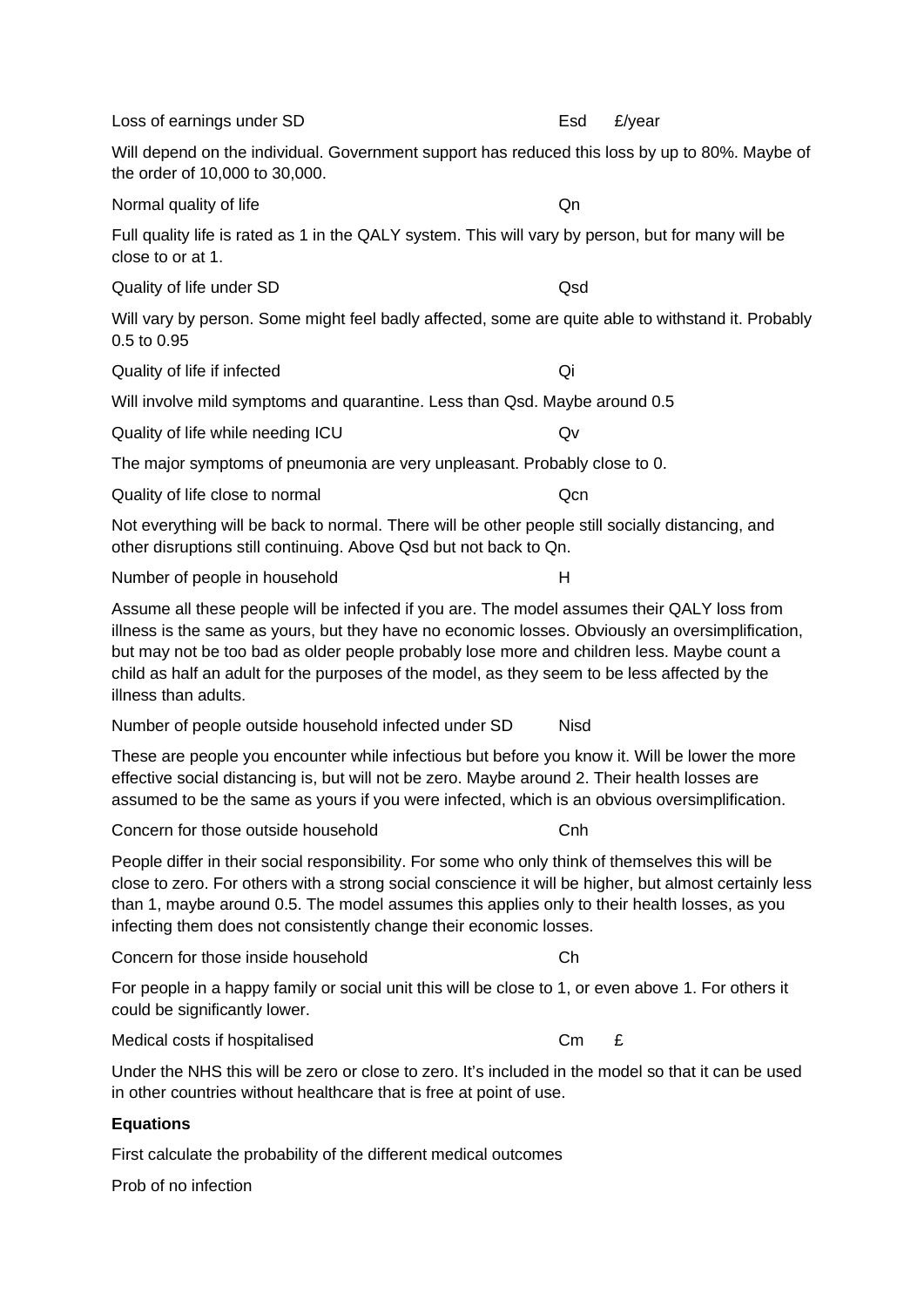| Loss of earnings under SD                                                                                                                                                                                                                                                                                                                                                                                              | Esd         | £/year |
|------------------------------------------------------------------------------------------------------------------------------------------------------------------------------------------------------------------------------------------------------------------------------------------------------------------------------------------------------------------------------------------------------------------------|-------------|--------|
| Will depend on the individual. Government support has reduced this loss by up to 80%. Maybe of<br>the order of 10,000 to 30,000.                                                                                                                                                                                                                                                                                       |             |        |
| Normal quality of life                                                                                                                                                                                                                                                                                                                                                                                                 | Qn          |        |
| Full quality life is rated as 1 in the QALY system. This will vary by person, but for many will be<br>close to or at 1.                                                                                                                                                                                                                                                                                                |             |        |
| Quality of life under SD                                                                                                                                                                                                                                                                                                                                                                                               | Qsd         |        |
| Will vary by person. Some might feel badly affected, some are quite able to withstand it. Probably<br>0.5 to 0.95                                                                                                                                                                                                                                                                                                      |             |        |
| Quality of life if infected                                                                                                                                                                                                                                                                                                                                                                                            | Qi          |        |
| Will involve mild symptoms and quarantine. Less than Qsd. Maybe around 0.5                                                                                                                                                                                                                                                                                                                                             |             |        |
| Quality of life while needing ICU                                                                                                                                                                                                                                                                                                                                                                                      | Qv          |        |
| The major symptoms of pneumonia are very unpleasant. Probably close to 0.                                                                                                                                                                                                                                                                                                                                              |             |        |
| Quality of life close to normal                                                                                                                                                                                                                                                                                                                                                                                        | Qcn         |        |
| Not everything will be back to normal. There will be other people still socially distancing, and<br>other disruptions still continuing. Above Qsd but not back to Qn.                                                                                                                                                                                                                                                  |             |        |
| Number of people in household                                                                                                                                                                                                                                                                                                                                                                                          | H           |        |
| Assume all these people will be infected if you are. The model assumes their QALY loss from<br>illness is the same as yours, but they have no economic losses. Obviously an oversimplification,<br>but may not be too bad as older people probably lose more and children less. Maybe count a<br>child as half an adult for the purposes of the model, as they seem to be less affected by the<br>illness than adults. |             |        |
| Number of people outside household infected under SD                                                                                                                                                                                                                                                                                                                                                                   | <b>Nisd</b> |        |
| These are people you encounter while infectious but before you know it. Will be lower the more<br>effective social distancing is, but will not be zero. Maybe around 2. Their health losses are<br>assumed to be the same as yours if you were infected, which is an obvious oversimplification.                                                                                                                       |             |        |
| Concern for those outside household                                                                                                                                                                                                                                                                                                                                                                                    | Cnh         |        |
| People differ in their social responsibility. For some who only think of themselves this will be<br>close to zero. For others with a strong social conscience it will be higher, but almost certainly less<br>than 1, maybe around 0.5. The model assumes this applies only to their health losses, as you<br>infecting them does not consistently change their economic losses.                                       |             |        |
| Concern for those inside household                                                                                                                                                                                                                                                                                                                                                                                     | Ch          |        |
| For people in a happy family or social unit this will be close to 1, or even above 1. For others it<br>could be significantly lower.                                                                                                                                                                                                                                                                                   |             |        |
| Medical costs if hospitalised                                                                                                                                                                                                                                                                                                                                                                                          | Cm          | £      |
| Under the NHS this will be zero or close to zero. It's included in the model so that it can be used<br>in other countries without healthcare that is free at point of use.                                                                                                                                                                                                                                             |             |        |
| <b>Equations</b>                                                                                                                                                                                                                                                                                                                                                                                                       |             |        |
| First calculate the probability of the different medical outcomes                                                                                                                                                                                                                                                                                                                                                      |             |        |
| Prob of no infection                                                                                                                                                                                                                                                                                                                                                                                                   |             |        |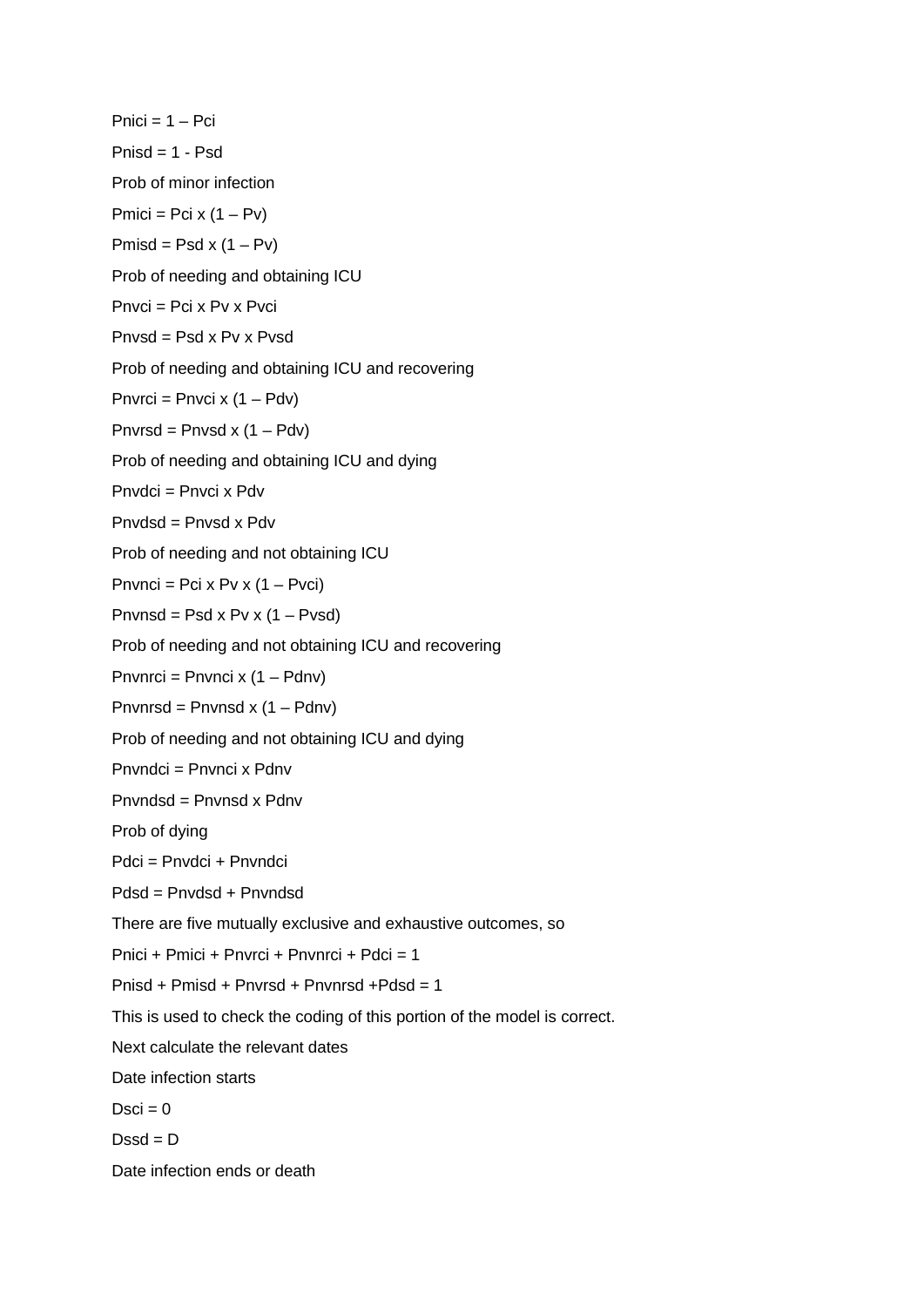$Pnici = 1 - Pci$ Pnisd = 1 - Psd Prob of minor infection  $Pmici = Pci \times (1 - Pv)$  $Pmisd = Psd \times (1 - Pv)$ Prob of needing and obtaining ICU Pnvci = Pci x Pv x Pvci Pnvsd = Psd x Pv x Pvsd Prob of needing and obtaining ICU and recovering Pnvrci = Pnvci x  $(1 - Pdv)$ Pnvrsd = Pnvsd x  $(1 - Pdv)$ Prob of needing and obtaining ICU and dying Pnvdci = Pnvci x Pdv Pnvdsd = Pnvsd x Pdv Prob of needing and not obtaining ICU Pnvnci = Pci x Pv x  $(1 - \text{Pvci})$ Pnvnsd = Psd x Pv x  $(1 - Pvsd)$ Prob of needing and not obtaining ICU and recovering Pnvnrci = Pnvnci x (1 – Pdnv) Pnvnrsd = Pnvnsd x (1 – Pdnv) Prob of needing and not obtaining ICU and dying Pnvndci = Pnvnci x Pdnv Pnvndsd = Pnvnsd x Pdnv Prob of dying Pdci = Pnvdci + Pnvndci Pdsd = Pnvdsd + Pnvndsd There are five mutually exclusive and exhaustive outcomes, so Pnici + Pmici + Pnvrci + Pnvnrci + Pdci = 1 Pnisd + Pmisd + Pnvrsd + Pnvnrsd +Pdsd = 1 This is used to check the coding of this portion of the model is correct. Next calculate the relevant dates Date infection starts  $Dsci = 0$  $Desd = D$ Date infection ends or death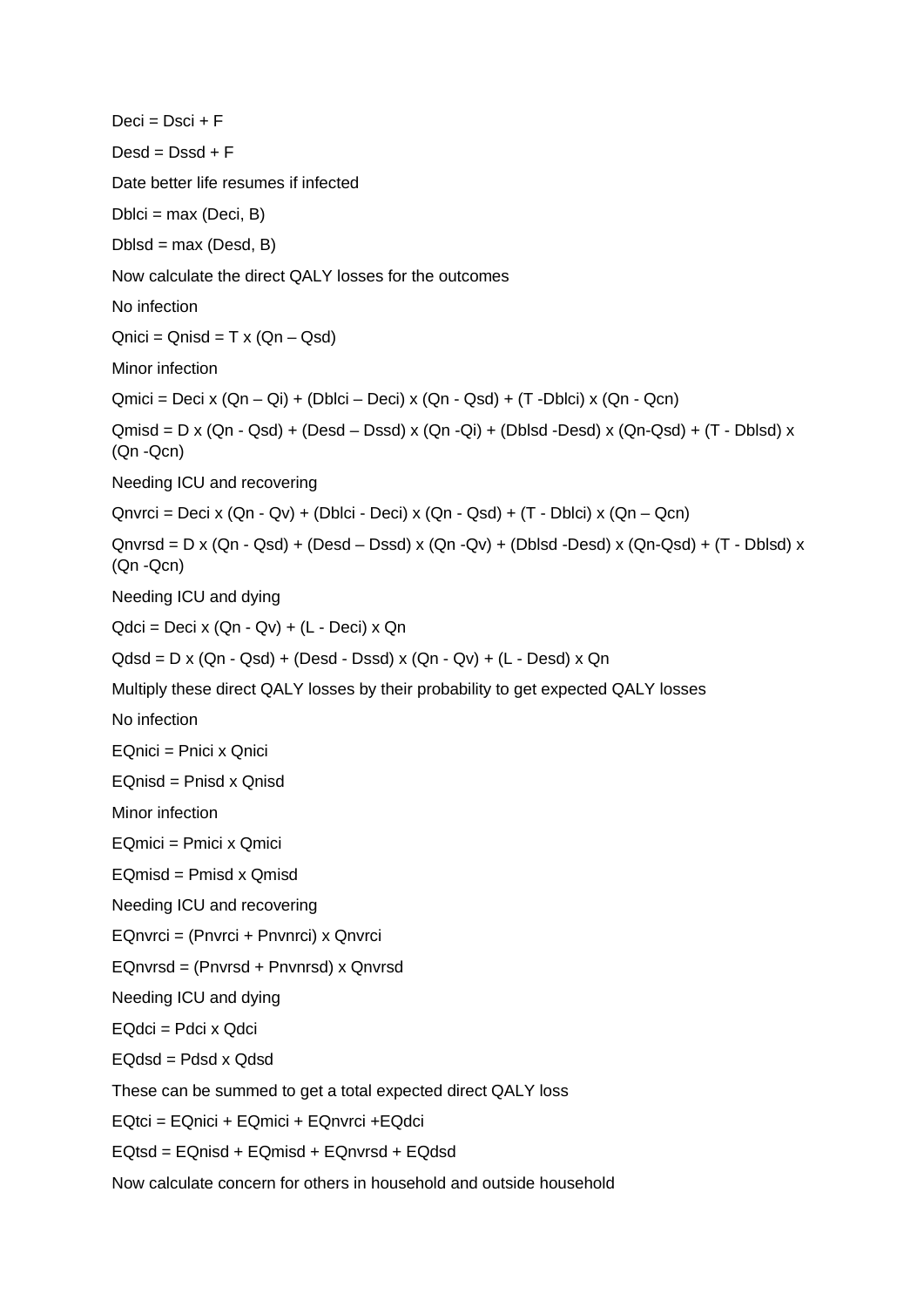$Deci = Disci + F$  $Desd = Dssd + F$ Date better life resumes if infected  $Dblci = max (Deci, B)$  $Dblsd = max (Desd, B)$ Now calculate the direct QALY losses for the outcomes No infection  $Qu·c = Qn$ isd = T x  $(Qn - Qsd)$ Minor infection  $Qmici = Deci x (Qn - Qi) + (Dblici - Deci) x (Qn - Qsd) + (T - Dblici) x (Qn - Qcn)$  $Qmisd = D \times (Qn - Qsd) + (Desd - Dsd) \times (Qn - Qi) + (Dblsd - Desd) \times (Qn - Qsd) + (T - Dblsd) \times (Qn - Qsd)$ (Qn -Qcn) Needing ICU and recovering  $Q$ nvrci = Deci x  $(Qn - Qv) + (Dblci - Deci)$  x  $(Qn - Qsd) + (T - Dblci)$  x  $(Qn - Qcn)$  $Qn\nu$ rsd = D x ( $Qn - Qsd$ ) + ( $Desd - Dsd$ ) x ( $Qn - Qv$ ) + ( $Dblsd - Desd$ ) x ( $Qn - Qsd$ ) + ( $T - Dblsd$ ) x (Qn -Qcn) Needing ICU and dying  $Qdci = Deci x (Qn - Qv) + (L - Deci) x Qn$ Qdsd = D x (Qn - Qsd) + (Desd - Dssd) x (Qn - Qv) + (L - Desd) x Qn Multiply these direct QALY losses by their probability to get expected QALY losses No infection EQnici = Pnici x Qnici EQnisd = Pnisd x Qnisd Minor infection EQmici = Pmici x Qmici EQmisd = Pmisd x Qmisd Needing ICU and recovering EQnvrci = (Pnvrci + Pnvnrci) x Qnvrci EQnvrsd = (Pnvrsd + Pnvnrsd) x Qnvrsd Needing ICU and dying EQdci = Pdci x Qdci EQdsd = Pdsd x Qdsd These can be summed to get a total expected direct QALY loss EQtci = EQnici + EQmici + EQnvrci +EQdci EQtsd = EQnisd + EQmisd + EQnvrsd + EQdsd Now calculate concern for others in household and outside household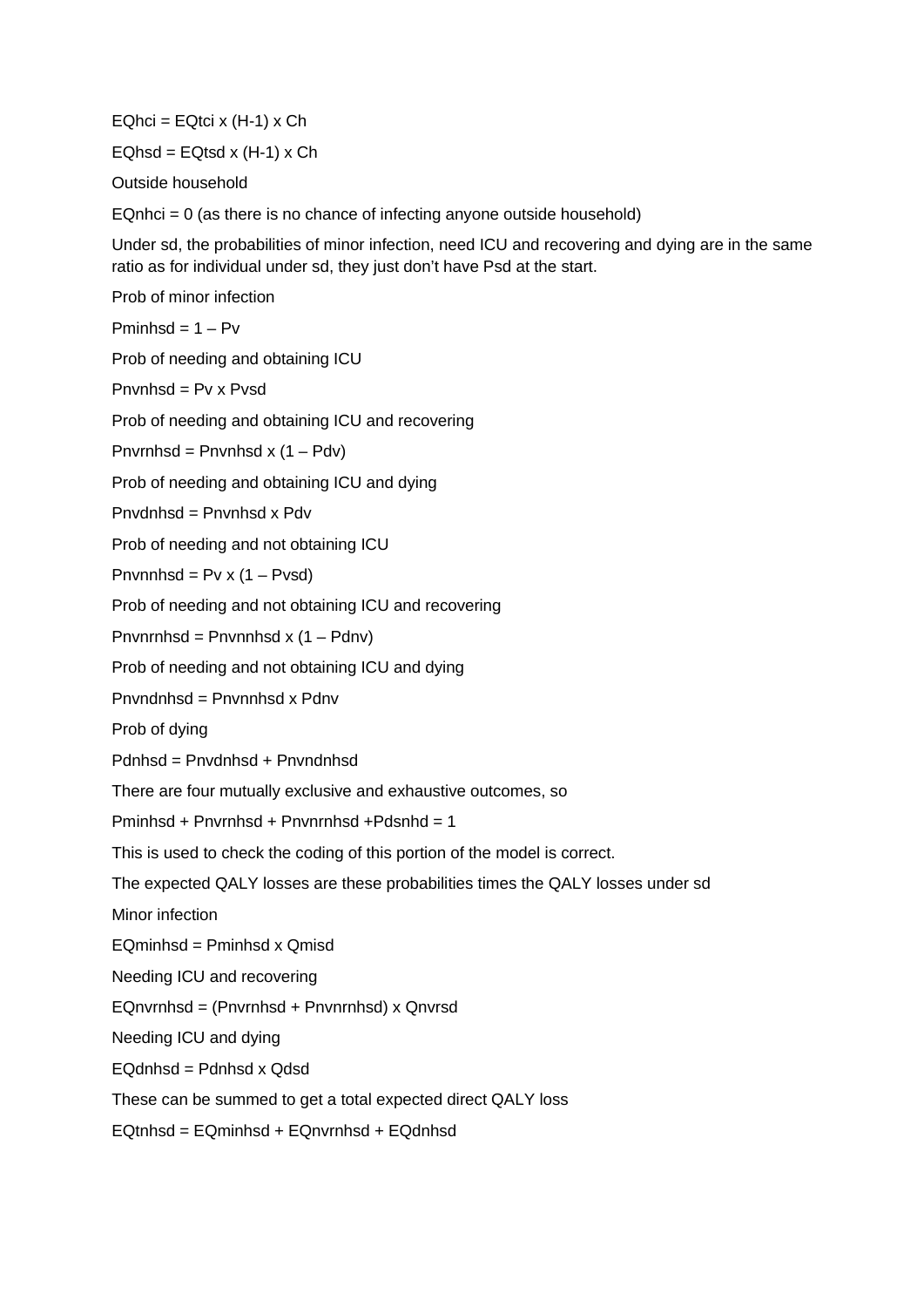$EQhci = EQtci \times (H-1) \times Ch$ 

 $EQhsd = EQtsd \times (H-1) \times Ch$ 

Outside household

 $EQnhci = 0$  (as there is no chance of infecting anyone outside household)

Under sd, the probabilities of minor infection, need ICU and recovering and dying are in the same ratio as for individual under sd, they just don't have Psd at the start.

Prob of minor infection

 $Pminhsd = 1 - Py$ 

Prob of needing and obtaining ICU

Pnvnhsd = Pv x Pvsd

Prob of needing and obtaining ICU and recovering

Pnvrnhsd = Pnvnhsd x  $(1 - Pdv)$ 

Prob of needing and obtaining ICU and dying

Pnvdnhsd = Pnvnhsd x Pdv

Prob of needing and not obtaining ICU

Pnvnnhsd =  $Pv x (1 - Pv s d)$ 

Prob of needing and not obtaining ICU and recovering

Pnvnrnhsd = Pnvnnhsd x  $(1 -$  Pdnv)

Prob of needing and not obtaining ICU and dying

Pnvndnhsd = Pnvnnhsd x Pdnv

Prob of dying

Pdnhsd = Pnvdnhsd + Pnvndnhsd

There are four mutually exclusive and exhaustive outcomes, so

Pminhsd + Pnvrnhsd + Pnvnrnhsd +Pdsnhd = 1

This is used to check the coding of this portion of the model is correct.

The expected QALY losses are these probabilities times the QALY losses under sd

Minor infection

 $E$ Ominhsd = Pminhsd x Omisd

Needing ICU and recovering

EQnvrnhsd = (Pnvrnhsd + Pnvnrnhsd) x Qnvrsd

Needing ICU and dying

EQdnhsd = Pdnhsd x Qdsd

These can be summed to get a total expected direct QALY loss

EQtnhsd = EQminhsd + EQnvrnhsd + EQdnhsd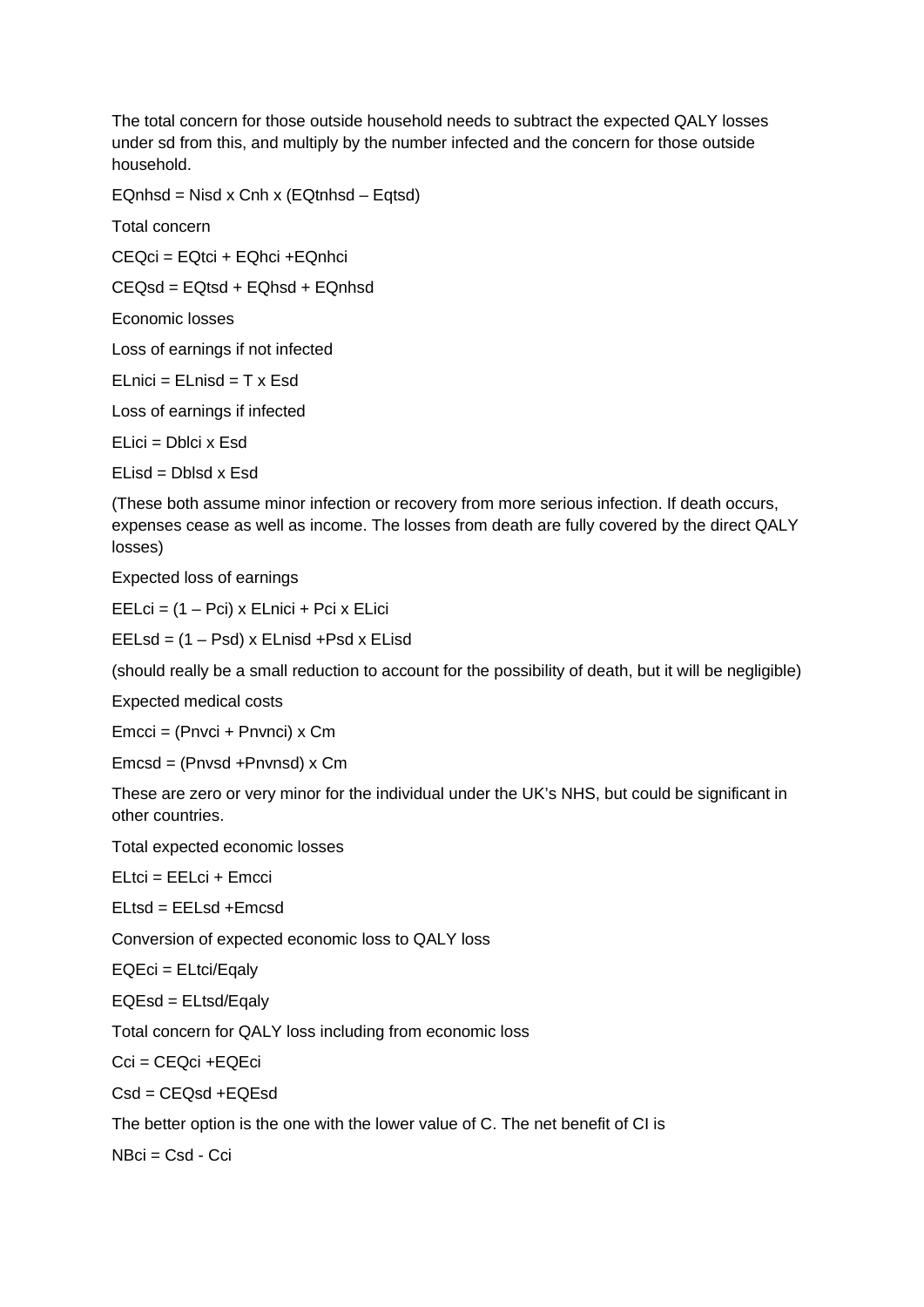The total concern for those outside household needs to subtract the expected QALY losses under sd from this, and multiply by the number infected and the concern for those outside household.

EQnhsd = Nisd x Cnh x (EQtnhsd – Eqtsd)

Total concern

CEQci = EQtci + EQhci +EQnhci

CEQsd = EQtsd + EQhsd + EQnhsd

Economic losses

Loss of earnings if not infected

 $ELnici = ELnisd = T x Esd$ 

Loss of earnings if infected

ELici = Dblci x Esd

ELisd = Dblsd x Esd

(These both assume minor infection or recovery from more serious infection. If death occurs, expenses cease as well as income. The losses from death are fully covered by the direct QALY losses)

Expected loss of earnings

EELci = (1 – Pci) x ELnici + Pci x ELici

EELsd = (1 – Psd) x ELnisd +Psd x ELisd

(should really be a small reduction to account for the possibility of death, but it will be negligible)

Expected medical costs

Emcci = (Pnvci + Pnvnci) x Cm

Emcsd = (Pnvsd +Pnvnsd) x Cm

These are zero or very minor for the individual under the UK's NHS, but could be significant in other countries.

Total expected economic losses

ELtci = EELci + Emcci

ELtsd = EELsd +Emcsd

Conversion of expected economic loss to QALY loss

EQEci = ELtci/Eqaly

EQEsd = ELtsd/Eqaly

Total concern for QALY loss including from economic loss

Cci = CEQci +EQEci

 $Csd = CEOsd + EOEsd$ 

The better option is the one with the lower value of C. The net benefit of CI is

 $N$ Bci = Csd - Cci